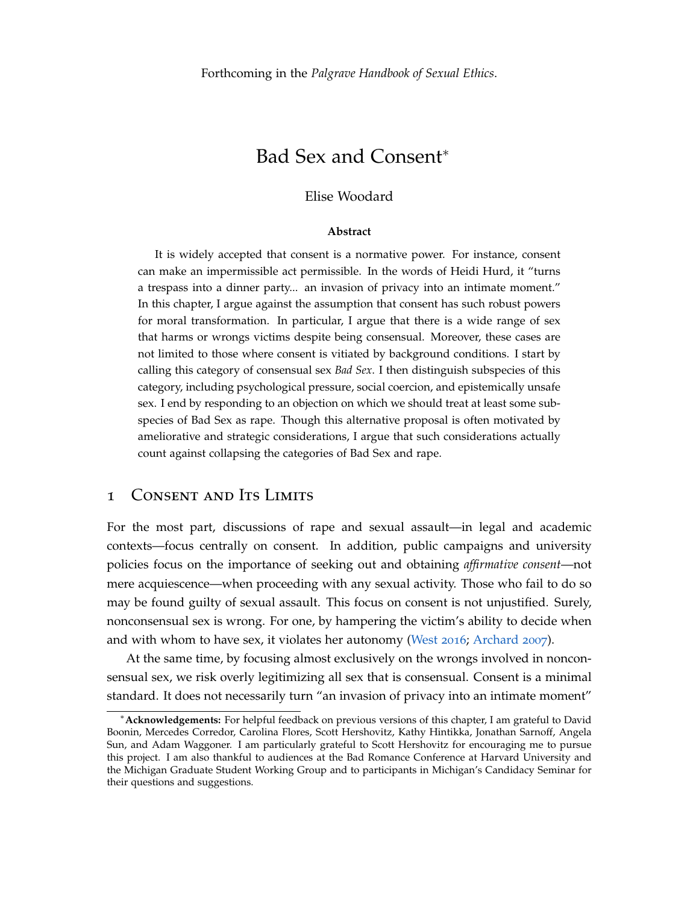# Bad Sex and Consent<sup>∗</sup>

### Elise Woodard

#### **Abstract**

It is widely accepted that consent is a normative power. For instance, consent can make an impermissible act permissible. In the words of Heidi Hurd, it "turns a trespass into a dinner party... an invasion of privacy into an intimate moment." In this chapter, I argue against the assumption that consent has such robust powers for moral transformation. In particular, I argue that there is a wide range of sex that harms or wrongs victims despite being consensual. Moreover, these cases are not limited to those where consent is vitiated by background conditions. I start by calling this category of consensual sex *Bad Sex*. I then distinguish subspecies of this category, including psychological pressure, social coercion, and epistemically unsafe sex. I end by responding to an objection on which we should treat at least some subspecies of Bad Sex as rape. Though this alternative proposal is often motivated by ameliorative and strategic considerations, I argue that such considerations actually count against collapsing the categories of Bad Sex and rape.

## 1 Consent and Its Limits

For the most part, discussions of rape and sexual assault—in legal and academic contexts—focus centrally on consent. In addition, public campaigns and university policies focus on the importance of seeking out and obtaining *affirmative consent*—not mere acquiescence—when proceeding with any sexual activity. Those who fail to do so may be found guilty of sexual assault. This focus on consent is not unjustified. Surely, nonconsensual sex is wrong. For one, by hampering the victim's ability to decide when and with whom to have sex, it violates her autonomy [\(West](#page-25-0) [2016](#page-25-0); [Archard](#page-22-0) [2007](#page-22-0)).

At the same time, by focusing almost exclusively on the wrongs involved in nonconsensual sex, we risk overly legitimizing all sex that is consensual. Consent is a minimal standard. It does not necessarily turn "an invasion of privacy into an intimate moment"

<sup>∗</sup>**Acknowledgements:** For helpful feedback on previous versions of this chapter, I am grateful to David Boonin, Mercedes Corredor, Carolina Flores, Scott Hershovitz, Kathy Hintikka, Jonathan Sarnoff, Angela Sun, and Adam Waggoner. I am particularly grateful to Scott Hershovitz for encouraging me to pursue this project. I am also thankful to audiences at the Bad Romance Conference at Harvard University and the Michigan Graduate Student Working Group and to participants in Michigan's Candidacy Seminar for their questions and suggestions.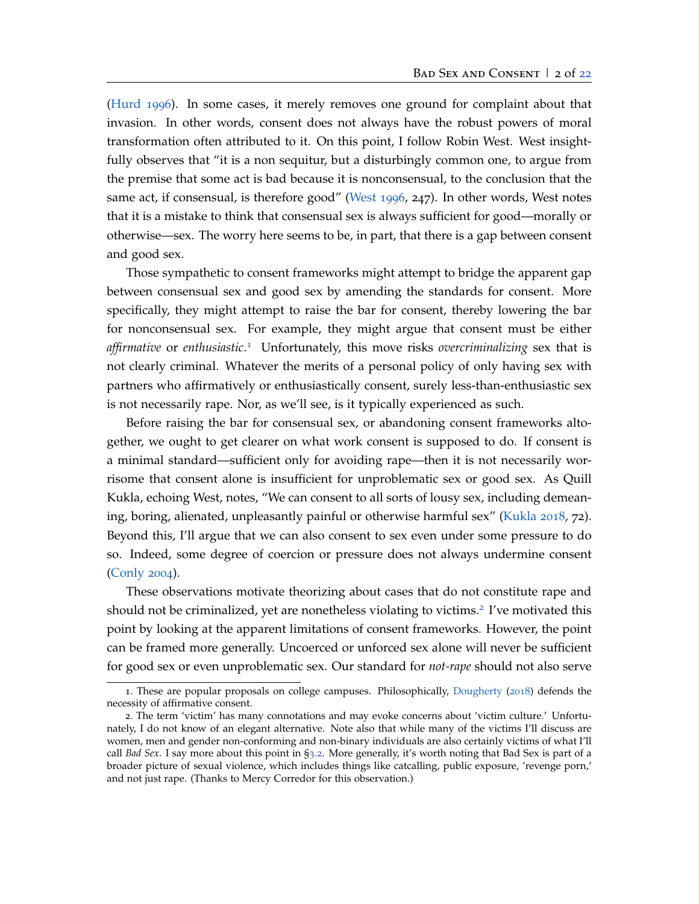[\(Hurd](#page-23-0) [1996](#page-23-0)). In some cases, it merely removes one ground for complaint about that invasion. In other words, consent does not always have the robust powers of moral transformation often attributed to it. On this point, I follow Robin West. West insightfully observes that "it is a non sequitur, but a disturbingly common one, to argue from the premise that some act is bad because it is nonconsensual, to the conclusion that the same act, if consensual, is therefore good" [\(West](#page-25-1) [1996](#page-25-1), 247). In other words, West notes that it is a mistake to think that consensual sex is always sufficient for good—morally or otherwise—sex. The worry here seems to be, in part, that there is a gap between consent and good sex.

Those sympathetic to consent frameworks might attempt to bridge the apparent gap between consensual sex and good sex by amending the standards for consent. More specifically, they might attempt to raise the bar for consent, thereby lowering the bar for nonconsensual sex. For example, they might argue that consent must be either *affirmative* or *enthusiastic*. [1](#page-1-0) Unfortunately, this move risks *overcriminalizing* sex that is not clearly criminal. Whatever the merits of a personal policy of only having sex with partners who affirmatively or enthusiastically consent, surely less-than-enthusiastic sex is not necessarily rape. Nor, as we'll see, is it typically experienced as such.

Before raising the bar for consensual sex, or abandoning consent frameworks altogether, we ought to get clearer on what work consent is supposed to do. If consent is a minimal standard—sufficient only for avoiding rape—then it is not necessarily worrisome that consent alone is insufficient for unproblematic sex or good sex. As Quill Kukla, echoing West, notes, "We can consent to all sorts of lousy sex, including demeaning, boring, alienated, unpleasantly painful or otherwise harmful sex" [\(Kukla](#page-23-1) [2018](#page-23-1), 72). Beyond this, I'll argue that we can also consent to sex even under some pressure to do so. Indeed, some degree of coercion or pressure does not always undermine consent [\(Conly](#page-22-1) [2004](#page-22-1)).

These observations motivate theorizing about cases that do not constitute rape and should not be criminalized, yet are nonetheless violating to victims.<sup>[2](#page-1-1)</sup> I've motivated this point by looking at the apparent limitations of consent frameworks. However, the point can be framed more generally. Uncoerced or unforced sex alone will never be sufficient for good sex or even unproblematic sex. Our standard for *not-rape* should not also serve

<span id="page-1-0"></span><sup>1</sup>. These are popular proposals on college campuses. Philosophically, [Dougherty](#page-22-2) ([2018](#page-22-2)) defends the necessity of affirmative consent.

<span id="page-1-1"></span><sup>2</sup>. The term 'victim' has many connotations and may evoke concerns about 'victim culture.' Unfortunately, I do not know of an elegant alternative. Note also that while many of the victims I'll discuss are women, men and gender non-conforming and non-binary individuals are also certainly victims of what I'll call *Bad Sex*. I say more about this point in §[3](#page-11-0).2. More generally, it's worth noting that Bad Sex is part of a broader picture of sexual violence, which includes things like catcalling, public exposure, 'revenge porn,' and not just rape. (Thanks to Mercy Corredor for this observation.)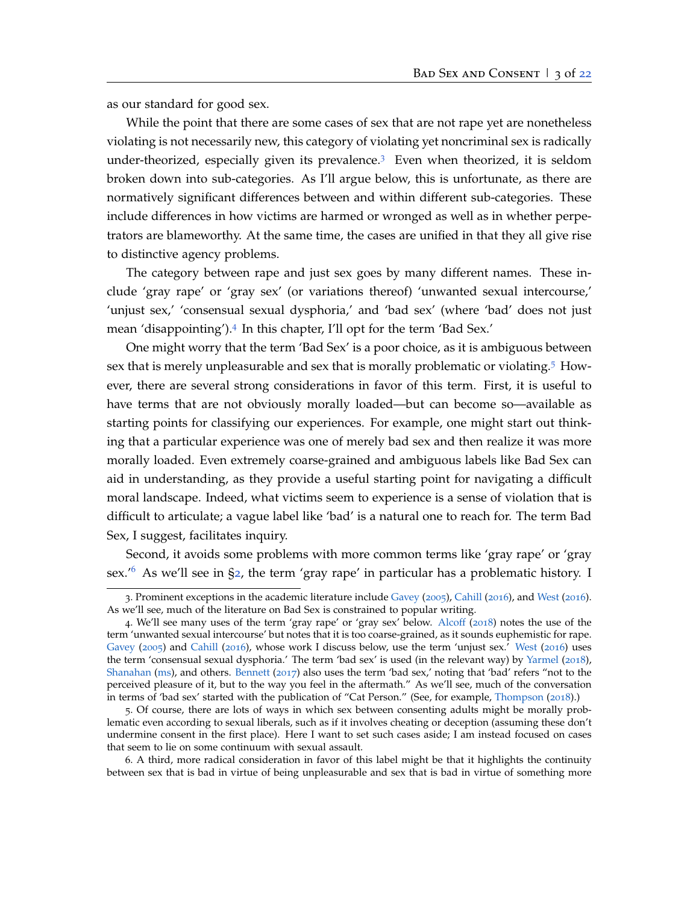as our standard for good sex.

While the point that there are some cases of sex that are not rape yet are nonetheless violating is not necessarily new, this category of violating yet noncriminal sex is radically under-theorized, especially given its prevalence. $3$  Even when theorized, it is seldom broken down into sub-categories. As I'll argue below, this is unfortunate, as there are normatively significant differences between and within different sub-categories. These include differences in how victims are harmed or wronged as well as in whether perpetrators are blameworthy. At the same time, the cases are unified in that they all give rise to distinctive agency problems.

The category between rape and just sex goes by many different names. These include 'gray rape' or 'gray sex' (or variations thereof) 'unwanted sexual intercourse,' 'unjust sex,' 'consensual sexual dysphoria,' and 'bad sex' (where 'bad' does not just mean 'disappointing').[4](#page-2-1) In this chapter, I'll opt for the term 'Bad Sex.'

One might worry that the term 'Bad Sex' is a poor choice, as it is ambiguous between sex that is merely unpleasurable and sex that is morally problematic or violating.[5](#page-2-2) However, there are several strong considerations in favor of this term. First, it is useful to have terms that are not obviously morally loaded—but can become so—available as starting points for classifying our experiences. For example, one might start out thinking that a particular experience was one of merely bad sex and then realize it was more morally loaded. Even extremely coarse-grained and ambiguous labels like Bad Sex can aid in understanding, as they provide a useful starting point for navigating a difficult moral landscape. Indeed, what victims seem to experience is a sense of violation that is difficult to articulate; a vague label like 'bad' is a natural one to reach for. The term Bad Sex, I suggest, facilitates inquiry.

Second, it avoids some problems with more common terms like 'gray rape' or 'gray sex.'[6](#page-2-3) As we'll see in §[2](#page-3-0), the term 'gray rape' in particular has a problematic history. I

<span id="page-2-0"></span><sup>3</sup>. Prominent exceptions in the academic literature include [Gavey](#page-23-2) ([2005](#page-23-2)), [Cahill](#page-22-3) ([2016](#page-22-3)), and [West](#page-25-0) ([2016](#page-25-0)). As we'll see, much of the literature on Bad Sex is constrained to popular writing.

<span id="page-2-1"></span><sup>4</sup>. We'll see many uses of the term 'gray rape' or 'gray sex' below. [Alcoff](#page-22-4) ([2018](#page-22-4)) notes the use of the term 'unwanted sexual intercourse' but notes that it is too coarse-grained, as it sounds euphemistic for rape. [Gavey](#page-23-2) ([2005](#page-23-2)) and [Cahill](#page-22-3) ([2016](#page-22-3)), whose work I discuss below, use the term 'unjust sex.' [West](#page-25-0) ([2016](#page-25-0)) uses the term 'consensual sexual dysphoria.' The term 'bad sex' is used (in the relevant way) by [Yarmel](#page-25-2) ([2018](#page-25-2)), [Shanahan](#page-25-3) [\(ms\)](#page-25-3), and others. [Bennett](#page-22-5) ([2017](#page-22-5)) also uses the term 'bad sex,' noting that 'bad' refers "not to the perceived pleasure of it, but to the way you feel in the aftermath." As we'll see, much of the conversation in terms of 'bad sex' started with the publication of "Cat Person." (See, for example, [Thompson](#page-25-4) ([2018](#page-25-4)).)

<span id="page-2-2"></span><sup>5</sup>. Of course, there are lots of ways in which sex between consenting adults might be morally problematic even according to sexual liberals, such as if it involves cheating or deception (assuming these don't undermine consent in the first place). Here I want to set such cases aside; I am instead focused on cases that seem to lie on some continuum with sexual assault.

<span id="page-2-3"></span><sup>6</sup>. A third, more radical consideration in favor of this label might be that it highlights the continuity between sex that is bad in virtue of being unpleasurable and sex that is bad in virtue of something more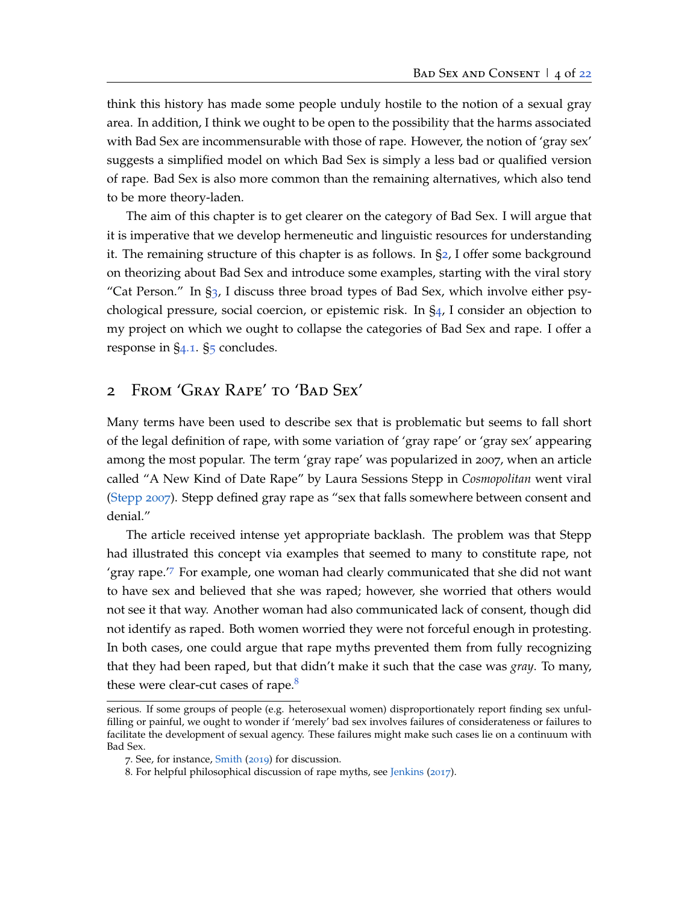think this history has made some people unduly hostile to the notion of a sexual gray area. In addition, I think we ought to be open to the possibility that the harms associated with Bad Sex are incommensurable with those of rape. However, the notion of 'gray sex' suggests a simplified model on which Bad Sex is simply a less bad or qualified version of rape. Bad Sex is also more common than the remaining alternatives, which also tend to be more theory-laden.

The aim of this chapter is to get clearer on the category of Bad Sex. I will argue that it is imperative that we develop hermeneutic and linguistic resources for understanding it. The remaining structure of this chapter is as follows. In §[2](#page-3-0), I offer some background on theorizing about Bad Sex and introduce some examples, starting with the viral story "Cat Person." In  $\S_3$  $\S_3$ , I discuss three broad types of Bad Sex, which involve either psychological pressure, social coercion, or epistemic risk. In §[4](#page-16-0), I consider an objection to my project on which we ought to collapse the categories of Bad Sex and rape. I offer a response in §[4](#page-17-0).1. §[5](#page-21-1) concludes.

## <span id="page-3-0"></span>2 From 'Gray Rape' to 'Bad Sex'

Many terms have been used to describe sex that is problematic but seems to fall short of the legal definition of rape, with some variation of 'gray rape' or 'gray sex' appearing among the most popular. The term 'gray rape' was popularized in 2007, when an article called "A New Kind of Date Rape" by Laura Sessions Stepp in *Cosmopolitan* went viral [\(Stepp](#page-25-5) [2007](#page-25-5)). Stepp defined gray rape as "sex that falls somewhere between consent and denial."

The article received intense yet appropriate backlash. The problem was that Stepp had illustrated this concept via examples that seemed to many to constitute rape, not 'gray rape.'[7](#page-3-1) For example, one woman had clearly communicated that she did not want to have sex and believed that she was raped; however, she worried that others would not see it that way. Another woman had also communicated lack of consent, though did not identify as raped. Both women worried they were not forceful enough in protesting. In both cases, one could argue that rape myths prevented them from fully recognizing that they had been raped, but that didn't make it such that the case was *gray*. To many, these were clear-cut cases of rape.<sup>[8](#page-3-2)</sup>

serious. If some groups of people (e.g. heterosexual women) disproportionately report finding sex unfulfilling or painful, we ought to wonder if 'merely' bad sex involves failures of considerateness or failures to facilitate the development of sexual agency. These failures might make such cases lie on a continuum with Bad Sex.

<span id="page-3-1"></span><sup>7</sup>. See, for instance, [Smith](#page-25-6) ([2019](#page-25-6)) for discussion.

<span id="page-3-2"></span><sup>8</sup>. For helpful philosophical discussion of rape myths, see [Jenkins](#page-23-3) ([2017](#page-23-3)).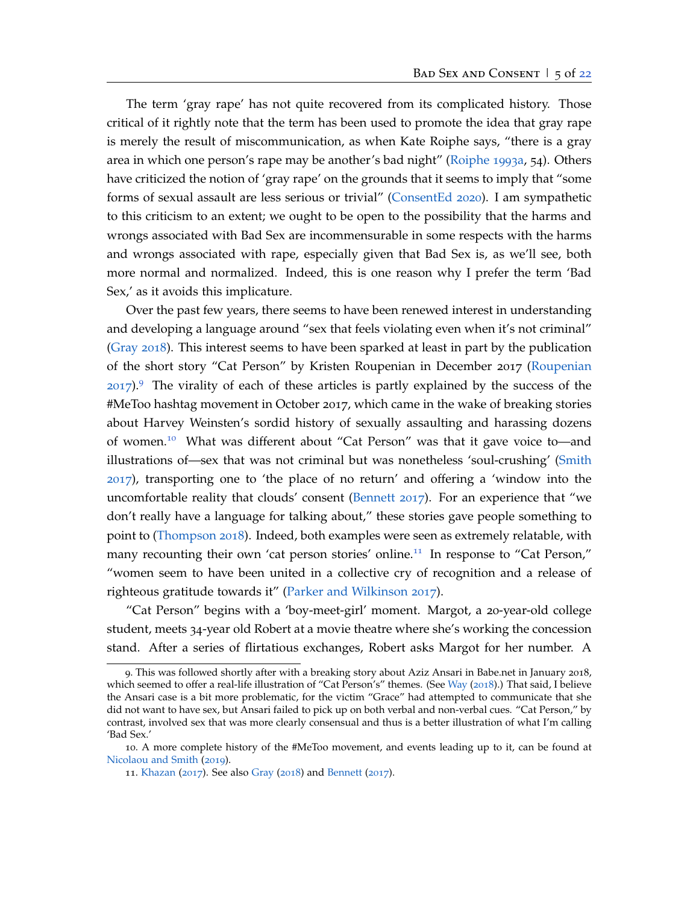The term 'gray rape' has not quite recovered from its complicated history. Those critical of it rightly note that the term has been used to promote the idea that gray rape is merely the result of miscommunication, as when Kate Roiphe says, "there is a gray area in which one person's rape may be another's bad night" [\(Roiphe](#page-24-0) [1993](#page-24-0)a, 54). Others have criticized the notion of 'gray rape' on the grounds that it seems to imply that "some forms of sexual assault are less serious or trivial" [\(ConsentEd](#page-22-6) [2020](#page-22-6)). I am sympathetic to this criticism to an extent; we ought to be open to the possibility that the harms and wrongs associated with Bad Sex are incommensurable in some respects with the harms and wrongs associated with rape, especially given that Bad Sex is, as we'll see, both more normal and normalized. Indeed, this is one reason why I prefer the term 'Bad Sex,' as it avoids this implicature.

Over the past few years, there seems to have been renewed interest in understanding and developing a language around "sex that feels violating even when it's not criminal" [\(Gray](#page-23-4) [2018](#page-23-4)). This interest seems to have been sparked at least in part by the publication of the short story "Cat Person" by Kristen Roupenian in December 2017 [\(Roupenian](#page-24-1)  $2017$ .<sup>[9](#page-4-0)</sup> The virality of each of these articles is partly explained by the success of the #MeToo hashtag movement in October 2017, which came in the wake of breaking stories about Harvey Weinsten's sordid history of sexually assaulting and harassing dozens of women.[10](#page-4-1) What was different about "Cat Person" was that it gave voice to—and illustrations of—sex that was not criminal but was nonetheless 'soul-crushing' [\(Smith](#page-25-7) [2017](#page-25-7)), transporting one to 'the place of no return' and offering a 'window into the uncomfortable reality that clouds' consent [\(Bennett](#page-22-5) [2017](#page-22-5)). For an experience that "we don't really have a language for talking about," these stories gave people something to point to [\(Thompson](#page-25-4) [2018](#page-25-4)). Indeed, both examples were seen as extremely relatable, with many recounting their own 'cat person stories' online.<sup>[11](#page-4-2)</sup> In response to "Cat Person," "women seem to have been united in a collective cry of recognition and a release of righteous gratitude towards it" [\(Parker and Wilkinson](#page-24-2) [2017](#page-24-2)).

"Cat Person" begins with a 'boy-meet-girl' moment. Margot, a 20-year-old college student, meets 34-year old Robert at a movie theatre where she's working the concession stand. After a series of flirtatious exchanges, Robert asks Margot for her number. A

<span id="page-4-0"></span><sup>9</sup>. This was followed shortly after with a breaking story about Aziz Ansari in Babe.net in January 2018, which seemed to offer a real-life illustration of "Cat Person's" themes. (See [Way](#page-25-8) ([2018](#page-25-8)).) That said, I believe the Ansari case is a bit more problematic, for the victim "Grace" had attempted to communicate that she did not want to have sex, but Ansari failed to pick up on both verbal and non-verbal cues. "Cat Person," by contrast, involved sex that was more clearly consensual and thus is a better illustration of what I'm calling 'Bad Sex.'

<sup>10</sup>. A more complete history of the #MeToo movement, and events leading up to it, can be found at [Nicolaou and Smith](#page-24-3) ([2019](#page-24-3)).

<span id="page-4-2"></span><span id="page-4-1"></span><sup>11</sup>. [Khazan](#page-23-5) ([2017](#page-23-5)). See also [Gray](#page-23-4) ([2018](#page-23-4)) and [Bennett](#page-22-5) ([2017](#page-22-5)).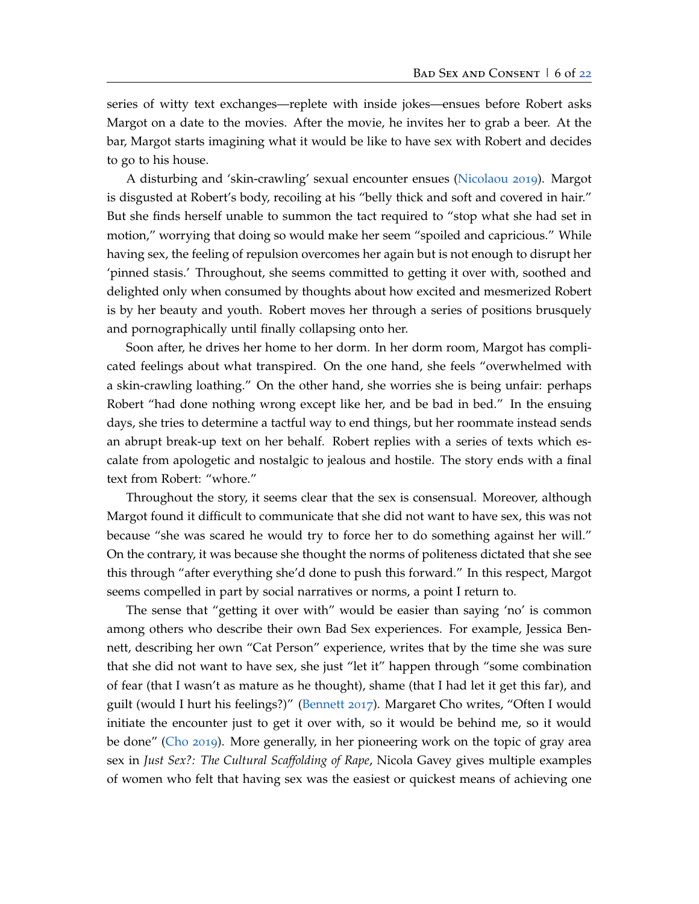series of witty text exchanges—replete with inside jokes—ensues before Robert asks Margot on a date to the movies. After the movie, he invites her to grab a beer. At the bar, Margot starts imagining what it would be like to have sex with Robert and decides to go to his house.

A disturbing and 'skin-crawling' sexual encounter ensues [\(Nicolaou](#page-24-4) [2019](#page-24-4)). Margot is disgusted at Robert's body, recoiling at his "belly thick and soft and covered in hair." But she finds herself unable to summon the tact required to "stop what she had set in motion," worrying that doing so would make her seem "spoiled and capricious." While having sex, the feeling of repulsion overcomes her again but is not enough to disrupt her 'pinned stasis.' Throughout, she seems committed to getting it over with, soothed and delighted only when consumed by thoughts about how excited and mesmerized Robert is by her beauty and youth. Robert moves her through a series of positions brusquely and pornographically until finally collapsing onto her.

Soon after, he drives her home to her dorm. In her dorm room, Margot has complicated feelings about what transpired. On the one hand, she feels "overwhelmed with a skin-crawling loathing." On the other hand, she worries she is being unfair: perhaps Robert "had done nothing wrong except like her, and be bad in bed." In the ensuing days, she tries to determine a tactful way to end things, but her roommate instead sends an abrupt break-up text on her behalf. Robert replies with a series of texts which escalate from apologetic and nostalgic to jealous and hostile. The story ends with a final text from Robert: "whore."

Throughout the story, it seems clear that the sex is consensual. Moreover, although Margot found it difficult to communicate that she did not want to have sex, this was not because "she was scared he would try to force her to do something against her will." On the contrary, it was because she thought the norms of politeness dictated that she see this through "after everything she'd done to push this forward." In this respect, Margot seems compelled in part by social narratives or norms, a point I return to.

The sense that "getting it over with" would be easier than saying 'no' is common among others who describe their own Bad Sex experiences. For example, Jessica Bennett, describing her own "Cat Person" experience, writes that by the time she was sure that she did not want to have sex, she just "let it" happen through "some combination of fear (that I wasn't as mature as he thought), shame (that I had let it get this far), and guilt (would I hurt his feelings?)" [\(Bennett](#page-22-5) [2017](#page-22-5)). Margaret Cho writes, "Often I would initiate the encounter just to get it over with, so it would be behind me, so it would be done" [\(Cho](#page-22-7) [2019](#page-22-7)). More generally, in her pioneering work on the topic of gray area sex in *Just Sex?: The Cultural Scaffolding of Rape*, Nicola Gavey gives multiple examples of women who felt that having sex was the easiest or quickest means of achieving one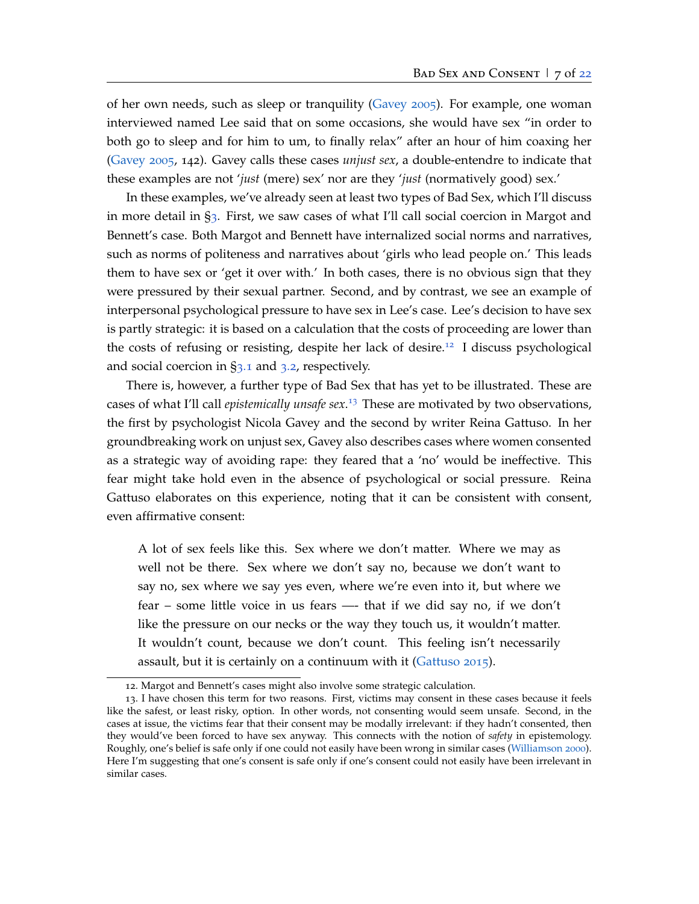of her own needs, such as sleep or tranquility [\(Gavey](#page-23-2) [2005](#page-23-2)). For example, one woman interviewed named Lee said that on some occasions, she would have sex "in order to both go to sleep and for him to um, to finally relax" after an hour of him coaxing her [\(Gavey](#page-23-2) [2005](#page-23-2), 142). Gavey calls these cases *unjust sex*, a double-entendre to indicate that these examples are not '*just* (mere) sex' nor are they '*just* (normatively good) sex.'

In these examples, we've already seen at least two types of Bad Sex, which I'll discuss in more detail in §[3](#page-7-0). First, we saw cases of what I'll call social coercion in Margot and Bennett's case. Both Margot and Bennett have internalized social norms and narratives, such as norms of politeness and narratives about 'girls who lead people on.' This leads them to have sex or 'get it over with.' In both cases, there is no obvious sign that they were pressured by their sexual partner. Second, and by contrast, we see an example of interpersonal psychological pressure to have sex in Lee's case. Lee's decision to have sex is partly strategic: it is based on a calculation that the costs of proceeding are lower than the costs of refusing or resisting, despite her lack of desire.[12](#page-6-0) I discuss psychological and social coercion in  $\S$ [3](#page-11-0).1 and 3.2, respectively.

There is, however, a further type of Bad Sex that has yet to be illustrated. These are cases of what I'll call *epistemically unsafe sex*. [13](#page-6-1) These are motivated by two observations, the first by psychologist Nicola Gavey and the second by writer Reina Gattuso. In her groundbreaking work on unjust sex, Gavey also describes cases where women consented as a strategic way of avoiding rape: they feared that a 'no' would be ineffective. This fear might take hold even in the absence of psychological or social pressure. Reina Gattuso elaborates on this experience, noting that it can be consistent with consent, even affirmative consent:

A lot of sex feels like this. Sex where we don't matter. Where we may as well not be there. Sex where we don't say no, because we don't want to say no, sex where we say yes even, where we're even into it, but where we fear – some little voice in us fears —- that if we did say no, if we don't like the pressure on our necks or the way they touch us, it wouldn't matter. It wouldn't count, because we don't count. This feeling isn't necessarily assault, but it is certainly on a continuum with it [\(Gattuso](#page-22-8) [2015](#page-22-8)).

<span id="page-6-1"></span><span id="page-6-0"></span><sup>12</sup>. Margot and Bennett's cases might also involve some strategic calculation.

<sup>13</sup>. I have chosen this term for two reasons. First, victims may consent in these cases because it feels like the safest, or least risky, option. In other words, not consenting would seem unsafe. Second, in the cases at issue, the victims fear that their consent may be modally irrelevant: if they hadn't consented, then they would've been forced to have sex anyway. This connects with the notion of *safety* in epistemology. Roughly, one's belief is safe only if one could not easily have been wrong in similar cases [\(Williamson](#page-25-9) [2000](#page-25-9)). Here I'm suggesting that one's consent is safe only if one's consent could not easily have been irrelevant in similar cases.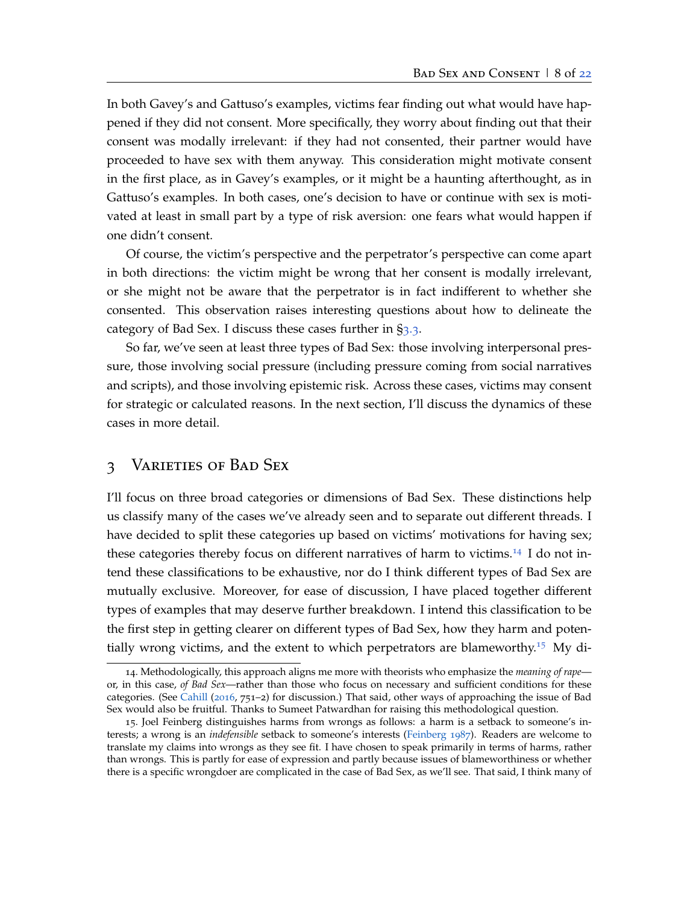In both Gavey's and Gattuso's examples, victims fear finding out what would have happened if they did not consent. More specifically, they worry about finding out that their consent was modally irrelevant: if they had not consented, their partner would have proceeded to have sex with them anyway. This consideration might motivate consent in the first place, as in Gavey's examples, or it might be a haunting afterthought, as in Gattuso's examples. In both cases, one's decision to have or continue with sex is motivated at least in small part by a type of risk aversion: one fears what would happen if one didn't consent.

Of course, the victim's perspective and the perpetrator's perspective can come apart in both directions: the victim might be wrong that her consent is modally irrelevant, or she might not be aware that the perpetrator is in fact indifferent to whether she consented. This observation raises interesting questions about how to delineate the category of Bad Sex. I discuss these cases further in §[3](#page-14-0).3.

So far, we've seen at least three types of Bad Sex: those involving interpersonal pressure, those involving social pressure (including pressure coming from social narratives and scripts), and those involving epistemic risk. Across these cases, victims may consent for strategic or calculated reasons. In the next section, I'll discuss the dynamics of these cases in more detail.

### <span id="page-7-0"></span>3 Varieties of Bad Sex

I'll focus on three broad categories or dimensions of Bad Sex. These distinctions help us classify many of the cases we've already seen and to separate out different threads. I have decided to split these categories up based on victims' motivations for having sex; these categories thereby focus on different narratives of harm to victims.[14](#page-7-1) I do not intend these classifications to be exhaustive, nor do I think different types of Bad Sex are mutually exclusive. Moreover, for ease of discussion, I have placed together different types of examples that may deserve further breakdown. I intend this classification to be the first step in getting clearer on different types of Bad Sex, how they harm and poten-tially wrong victims, and the extent to which perpetrators are blameworthy.<sup>[15](#page-7-2)</sup> My di-

<span id="page-7-1"></span><sup>14</sup>. Methodologically, this approach aligns me more with theorists who emphasize the *meaning of rape* or, in this case, *of Bad Sex*—rather than those who focus on necessary and sufficient conditions for these categories. (See [Cahill](#page-22-3) ([2016](#page-22-3), 751–2) for discussion.) That said, other ways of approaching the issue of Bad Sex would also be fruitful. Thanks to Sumeet Patwardhan for raising this methodological question.

<span id="page-7-2"></span><sup>15</sup>. Joel Feinberg distinguishes harms from wrongs as follows: a harm is a setback to someone's interests; a wrong is an *indefensible* setback to someone's interests [\(Feinberg](#page-22-9) [1987](#page-22-9)). Readers are welcome to translate my claims into wrongs as they see fit. I have chosen to speak primarily in terms of harms, rather than wrongs. This is partly for ease of expression and partly because issues of blameworthiness or whether there is a specific wrongdoer are complicated in the case of Bad Sex, as we'll see. That said, I think many of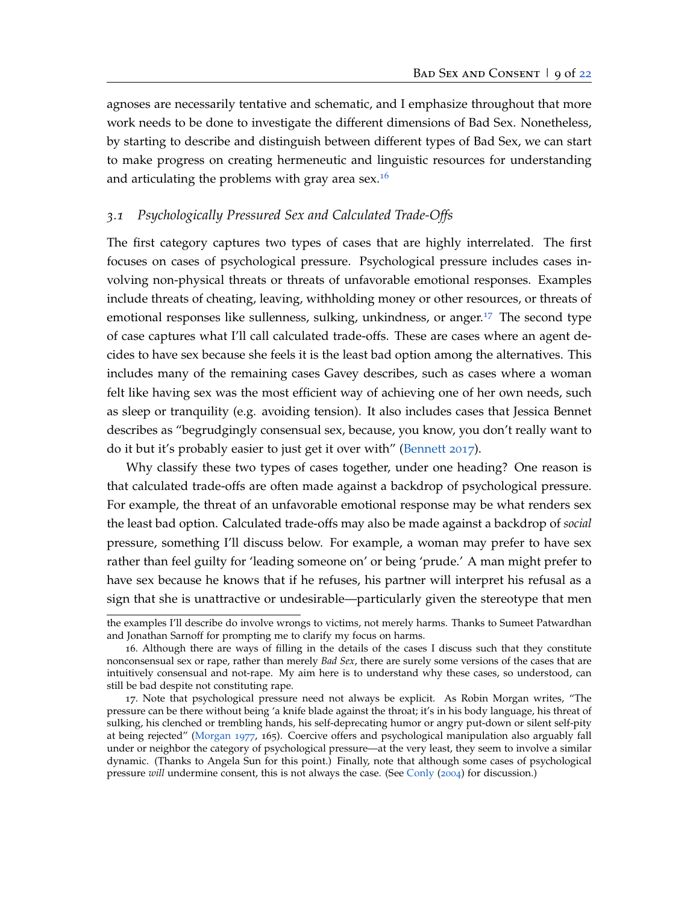agnoses are necessarily tentative and schematic, and I emphasize throughout that more work needs to be done to investigate the different dimensions of Bad Sex. Nonetheless, by starting to describe and distinguish between different types of Bad Sex, we can start to make progress on creating hermeneutic and linguistic resources for understanding and articulating the problems with gray area sex.<sup>[16](#page-8-1)</sup>

### <span id="page-8-0"></span>*3.1 Psychologically Pressured Sex and Calculated Trade-Offs*

The first category captures two types of cases that are highly interrelated. The first focuses on cases of psychological pressure. Psychological pressure includes cases involving non-physical threats or threats of unfavorable emotional responses. Examples include threats of cheating, leaving, withholding money or other resources, or threats of emotional responses like sullenness, sulking, unkindness, or anger.<sup>[17](#page-8-2)</sup> The second type of case captures what I'll call calculated trade-offs. These are cases where an agent decides to have sex because she feels it is the least bad option among the alternatives. This includes many of the remaining cases Gavey describes, such as cases where a woman felt like having sex was the most efficient way of achieving one of her own needs, such as sleep or tranquility (e.g. avoiding tension). It also includes cases that Jessica Bennet describes as "begrudgingly consensual sex, because, you know, you don't really want to do it but it's probably easier to just get it over with" [\(Bennett](#page-22-5) [2017](#page-22-5)).

Why classify these two types of cases together, under one heading? One reason is that calculated trade-offs are often made against a backdrop of psychological pressure. For example, the threat of an unfavorable emotional response may be what renders sex the least bad option. Calculated trade-offs may also be made against a backdrop of *social* pressure, something I'll discuss below. For example, a woman may prefer to have sex rather than feel guilty for 'leading someone on' or being 'prude.' A man might prefer to have sex because he knows that if he refuses, his partner will interpret his refusal as a sign that she is unattractive or undesirable—particularly given the stereotype that men

the examples I'll describe do involve wrongs to victims, not merely harms. Thanks to Sumeet Patwardhan and Jonathan Sarnoff for prompting me to clarify my focus on harms.

<span id="page-8-1"></span><sup>16</sup>. Although there are ways of filling in the details of the cases I discuss such that they constitute nonconsensual sex or rape, rather than merely *Bad Sex*, there are surely some versions of the cases that are intuitively consensual and not-rape. My aim here is to understand why these cases, so understood, can still be bad despite not constituting rape.

<span id="page-8-2"></span><sup>17</sup>. Note that psychological pressure need not always be explicit. As Robin Morgan writes, "The pressure can be there without being 'a knife blade against the throat; it's in his body language, his threat of sulking, his clenched or trembling hands, his self-deprecating humor or angry put-down or silent self-pity at being rejected" [\(Morgan](#page-24-5) [1977](#page-24-5), 165). Coercive offers and psychological manipulation also arguably fall under or neighbor the category of psychological pressure—at the very least, they seem to involve a similar dynamic. (Thanks to Angela Sun for this point.) Finally, note that although some cases of psychological pressure *will* undermine consent, this is not always the case. (See [Conly](#page-22-1) ([2004](#page-22-1)) for discussion.)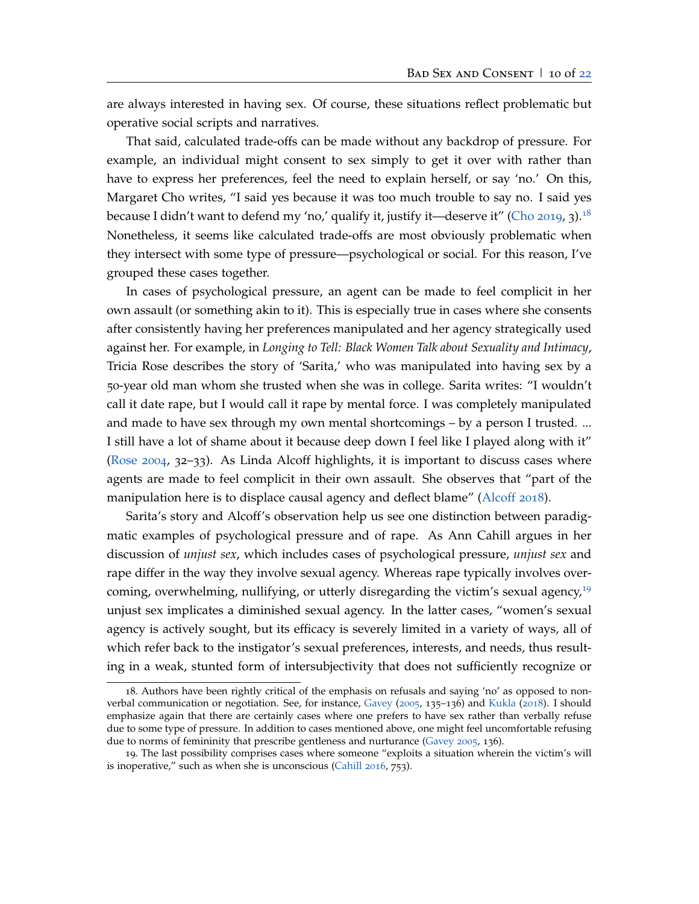are always interested in having sex. Of course, these situations reflect problematic but operative social scripts and narratives.

That said, calculated trade-offs can be made without any backdrop of pressure. For example, an individual might consent to sex simply to get it over with rather than have to express her preferences, feel the need to explain herself, or say 'no.' On this, Margaret Cho writes, "I said yes because it was too much trouble to say no. I said yes because I didn't want to defend my 'no,' qualify it, justify it—deserve it" [\(Cho](#page-22-7) [2019](#page-22-7), 3).<sup>[18](#page-9-0)</sup> Nonetheless, it seems like calculated trade-offs are most obviously problematic when they intersect with some type of pressure—psychological or social. For this reason, I've grouped these cases together.

In cases of psychological pressure, an agent can be made to feel complicit in her own assault (or something akin to it). This is especially true in cases where she consents after consistently having her preferences manipulated and her agency strategically used against her. For example, in *Longing to Tell: Black Women Talk about Sexuality and Intimacy*, Tricia Rose describes the story of 'Sarita,' who was manipulated into having sex by a 50-year old man whom she trusted when she was in college. Sarita writes: "I wouldn't call it date rape, but I would call it rape by mental force. I was completely manipulated and made to have sex through my own mental shortcomings – by a person I trusted. ... I still have a lot of shame about it because deep down I feel like I played along with it" [\(Rose](#page-24-6) [2004](#page-24-6), 32–33). As Linda Alcoff highlights, it is important to discuss cases where agents are made to feel complicit in their own assault. She observes that "part of the manipulation here is to displace causal agency and deflect blame" [\(Alcoff](#page-22-4) [2018](#page-22-4)).

Sarita's story and Alcoff's observation help us see one distinction between paradigmatic examples of psychological pressure and of rape. As Ann Cahill argues in her discussion of *unjust sex*, which includes cases of psychological pressure, *unjust sex* and rape differ in the way they involve sexual agency. Whereas rape typically involves overcoming, overwhelming, nullifying, or utterly disregarding the victim's sexual agency, $^{19}$  $^{19}$  $^{19}$ unjust sex implicates a diminished sexual agency. In the latter cases, "women's sexual agency is actively sought, but its efficacy is severely limited in a variety of ways, all of which refer back to the instigator's sexual preferences, interests, and needs, thus resulting in a weak, stunted form of intersubjectivity that does not sufficiently recognize or

<span id="page-9-0"></span><sup>18</sup>. Authors have been rightly critical of the emphasis on refusals and saying 'no' as opposed to nonverbal communication or negotiation. See, for instance, [Gavey](#page-23-2) ([2005](#page-23-2), 135–136) and [Kukla](#page-23-1) ([2018](#page-23-1)). I should emphasize again that there are certainly cases where one prefers to have sex rather than verbally refuse due to some type of pressure. In addition to cases mentioned above, one might feel uncomfortable refusing due to norms of femininity that prescribe gentleness and nurturance [\(Gavey](#page-23-2) [2005](#page-23-2), 136).

<span id="page-9-1"></span><sup>19</sup>. The last possibility comprises cases where someone "exploits a situation wherein the victim's will is inoperative," such as when she is unconscious [\(Cahill](#page-22-3) [2016](#page-22-3), 753).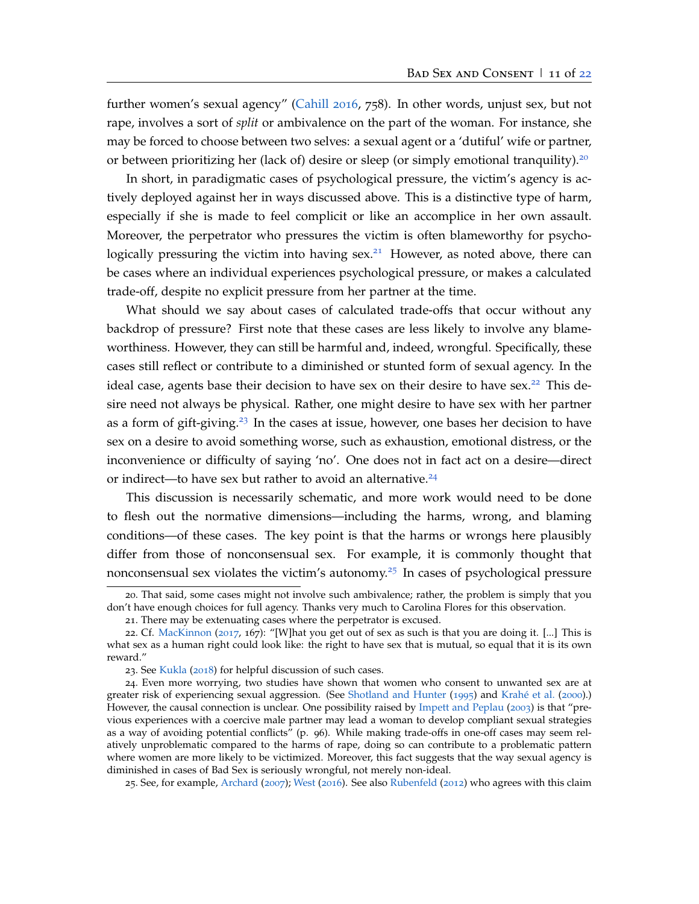further women's sexual agency" [\(Cahill](#page-22-3) [2016](#page-22-3), 758). In other words, unjust sex, but not rape, involves a sort of *split* or ambivalence on the part of the woman. For instance, she may be forced to choose between two selves: a sexual agent or a 'dutiful' wife or partner, or between prioritizing her (lack of) desire or sleep (or simply emotional tranquility).<sup>[20](#page-10-0)</sup>

In short, in paradigmatic cases of psychological pressure, the victim's agency is actively deployed against her in ways discussed above. This is a distinctive type of harm, especially if she is made to feel complicit or like an accomplice in her own assault. Moreover, the perpetrator who pressures the victim is often blameworthy for psycho-logically pressuring the victim into having sex.<sup>[21](#page-10-1)</sup> However, as noted above, there can be cases where an individual experiences psychological pressure, or makes a calculated trade-off, despite no explicit pressure from her partner at the time.

What should we say about cases of calculated trade-offs that occur without any backdrop of pressure? First note that these cases are less likely to involve any blameworthiness. However, they can still be harmful and, indeed, wrongful. Specifically, these cases still reflect or contribute to a diminished or stunted form of sexual agency. In the ideal case, agents base their decision to have sex on their desire to have  $sex.^{22}$  $sex.^{22}$  $sex.^{22}$  This desire need not always be physical. Rather, one might desire to have sex with her partner as a form of gift-giving.<sup>[23](#page-10-3)</sup> In the cases at issue, however, one bases her decision to have sex on a desire to avoid something worse, such as exhaustion, emotional distress, or the inconvenience or difficulty of saying 'no'. One does not in fact act on a desire—direct or indirect—to have sex but rather to avoid an alternative. $24$ 

This discussion is necessarily schematic, and more work would need to be done to flesh out the normative dimensions—including the harms, wrong, and blaming conditions—of these cases. The key point is that the harms or wrongs here plausibly differ from those of nonconsensual sex. For example, it is commonly thought that nonconsensual sex violates the victim's autonomy.<sup>[25](#page-10-5)</sup> In cases of psychological pressure

<span id="page-10-5"></span>25. See, for example, [Archard](#page-22-0) ([2007](#page-22-0)); [West](#page-25-0) ([2016](#page-25-0)). See also [Rubenfeld](#page-24-8) ([2012](#page-24-8)) who agrees with this claim

<sup>20</sup>. That said, some cases might not involve such ambivalence; rather, the problem is simply that you don't have enough choices for full agency. Thanks very much to Carolina Flores for this observation.

<span id="page-10-2"></span><span id="page-10-1"></span><span id="page-10-0"></span><sup>21</sup>. There may be extenuating cases where the perpetrator is excused.

<sup>22</sup>. Cf. [MacKinnon](#page-24-7) ([2017](#page-24-7), 167): "[W]hat you get out of sex as such is that you are doing it. [...] This is what sex as a human right could look like: the right to have sex that is mutual, so equal that it is its own reward."

<span id="page-10-4"></span><span id="page-10-3"></span><sup>23</sup>. See [Kukla](#page-23-1) ([2018](#page-23-1)) for helpful discussion of such cases.

<sup>24</sup>. Even more worrying, two studies have shown that women who consent to unwanted sex are at greater risk of experiencing sexual aggression. (See [Shotland and Hunter](#page-25-10) ([1995](#page-25-10)) and [Krahé et al.](#page-23-6) ([2000](#page-23-6)).) However, the causal connection is unclear. One possibility raised by [Impett and Peplau](#page-23-7) ([2003](#page-23-7)) is that "previous experiences with a coercive male partner may lead a woman to develop compliant sexual strategies as a way of avoiding potential conflicts" (p. 96). While making trade-offs in one-off cases may seem relatively unproblematic compared to the harms of rape, doing so can contribute to a problematic pattern where women are more likely to be victimized. Moreover, this fact suggests that the way sexual agency is diminished in cases of Bad Sex is seriously wrongful, not merely non-ideal.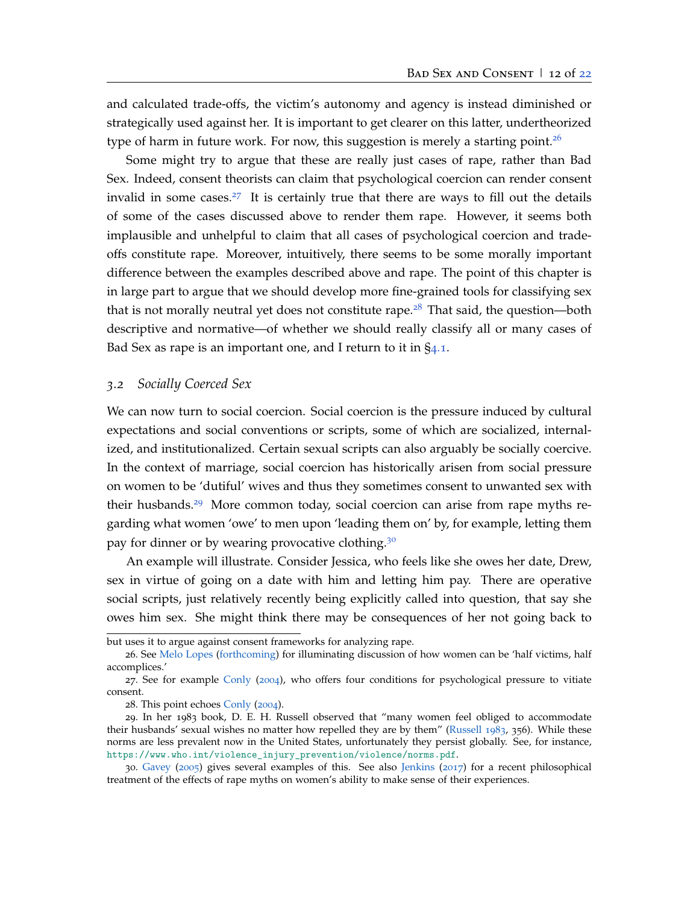and calculated trade-offs, the victim's autonomy and agency is instead diminished or strategically used against her. It is important to get clearer on this latter, undertheorized type of harm in future work. For now, this suggestion is merely a starting point.<sup>[26](#page-11-1)</sup>

Some might try to argue that these are really just cases of rape, rather than Bad Sex. Indeed, consent theorists can claim that psychological coercion can render consent invalid in some cases.<sup>[27](#page-11-2)</sup> It is certainly true that there are ways to fill out the details of some of the cases discussed above to render them rape. However, it seems both implausible and unhelpful to claim that all cases of psychological coercion and tradeoffs constitute rape. Moreover, intuitively, there seems to be some morally important difference between the examples described above and rape. The point of this chapter is in large part to argue that we should develop more fine-grained tools for classifying sex that is not morally neutral yet does not constitute rape.<sup>[28](#page-11-3)</sup> That said, the question—both descriptive and normative—of whether we should really classify all or many cases of Bad Sex as rape is an important one, and I return to it in  $\S$ [4](#page-17-0).1.

#### <span id="page-11-0"></span>*3.2 Socially Coerced Sex*

We can now turn to social coercion. Social coercion is the pressure induced by cultural expectations and social conventions or scripts, some of which are socialized, internalized, and institutionalized. Certain sexual scripts can also arguably be socially coercive. In the context of marriage, social coercion has historically arisen from social pressure on women to be 'dutiful' wives and thus they sometimes consent to unwanted sex with their husbands.<sup>[29](#page-11-4)</sup> More common today, social coercion can arise from rape myths regarding what women 'owe' to men upon 'leading them on' by, for example, letting them pay for dinner or by wearing provocative clothing.<sup>[30](#page-11-5)</sup>

An example will illustrate. Consider Jessica, who feels like she owes her date, Drew, sex in virtue of going on a date with him and letting him pay. There are operative social scripts, just relatively recently being explicitly called into question, that say she owes him sex. She might think there may be consequences of her not going back to

but uses it to argue against consent frameworks for analyzing rape.

<span id="page-11-1"></span><sup>26</sup>. See [Melo Lopes](#page-24-9) [\(forthcoming\)](#page-24-9) for illuminating discussion of how women can be 'half victims, half accomplices.'

<sup>27</sup>. See for example [Conly](#page-22-1) ([2004](#page-22-1)), who offers four conditions for psychological pressure to vitiate consent.

<span id="page-11-4"></span><span id="page-11-3"></span><span id="page-11-2"></span><sup>28</sup>. This point echoes [Conly](#page-22-1) ([2004](#page-22-1)).

<sup>29</sup>. In her 1983 book, D. E. H. Russell observed that "many women feel obliged to accommodate their husbands' sexual wishes no matter how repelled they are by them" [\(Russell](#page-24-10) [1983](#page-24-10), 356). While these norms are less prevalent now in the United States, unfortunately they persist globally. See, for instance, [https://www.who.int/violence\\_injury\\_prevention/violence/norms.pdf](https://www.who.int/violence_injury_prevention/violence/norms.pdf).

<span id="page-11-5"></span><sup>30</sup>. [Gavey](#page-23-2) ([2005](#page-23-2)) gives several examples of this. See also [Jenkins](#page-23-3) ([2017](#page-23-3)) for a recent philosophical treatment of the effects of rape myths on women's ability to make sense of their experiences.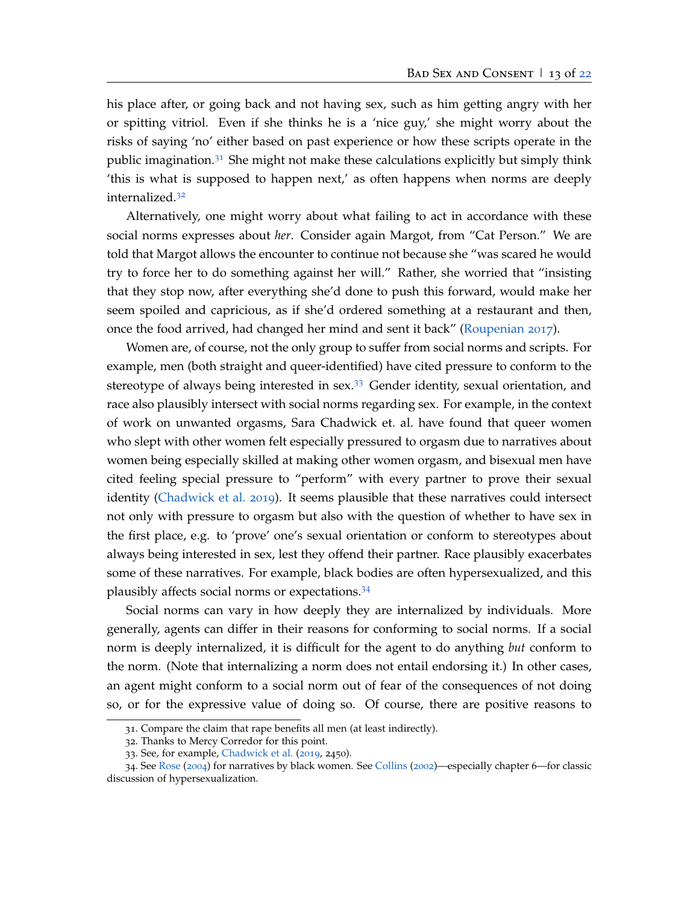his place after, or going back and not having sex, such as him getting angry with her or spitting vitriol. Even if she thinks he is a 'nice guy,' she might worry about the risks of saying 'no' either based on past experience or how these scripts operate in the public imagination.<sup>[31](#page-12-0)</sup> She might not make these calculations explicitly but simply think 'this is what is supposed to happen next,' as often happens when norms are deeply internalized.[32](#page-12-1)

Alternatively, one might worry about what failing to act in accordance with these social norms expresses about *her*. Consider again Margot, from "Cat Person." We are told that Margot allows the encounter to continue not because she "was scared he would try to force her to do something against her will." Rather, she worried that "insisting that they stop now, after everything she'd done to push this forward, would make her seem spoiled and capricious, as if she'd ordered something at a restaurant and then, once the food arrived, had changed her mind and sent it back" [\(Roupenian](#page-24-1) [2017](#page-24-1)).

Women are, of course, not the only group to suffer from social norms and scripts. For example, men (both straight and queer-identified) have cited pressure to conform to the stereotype of always being interested in  $sex.^{33}$  $sex.^{33}$  $sex.^{33}$  Gender identity, sexual orientation, and race also plausibly intersect with social norms regarding sex. For example, in the context of work on unwanted orgasms, Sara Chadwick et. al. have found that queer women who slept with other women felt especially pressured to orgasm due to narratives about women being especially skilled at making other women orgasm, and bisexual men have cited feeling special pressure to "perform" with every partner to prove their sexual identity [\(Chadwick et al.](#page-22-10) [2019](#page-22-10)). It seems plausible that these narratives could intersect not only with pressure to orgasm but also with the question of whether to have sex in the first place, e.g. to 'prove' one's sexual orientation or conform to stereotypes about always being interested in sex, lest they offend their partner. Race plausibly exacerbates some of these narratives. For example, black bodies are often hypersexualized, and this plausibly affects social norms or expectations.[34](#page-12-3)

Social norms can vary in how deeply they are internalized by individuals. More generally, agents can differ in their reasons for conforming to social norms. If a social norm is deeply internalized, it is difficult for the agent to do anything *but* conform to the norm. (Note that internalizing a norm does not entail endorsing it.) In other cases, an agent might conform to a social norm out of fear of the consequences of not doing so, or for the expressive value of doing so. Of course, there are positive reasons to

<span id="page-12-0"></span><sup>31</sup>. Compare the claim that rape benefits all men (at least indirectly).

<span id="page-12-1"></span><sup>32</sup>. Thanks to Mercy Corredor for this point.

<span id="page-12-3"></span><span id="page-12-2"></span><sup>33</sup>. See, for example, [Chadwick et al.](#page-22-10) ([2019](#page-22-10), 2450).

<sup>34</sup>. See [Rose](#page-24-6) ([2004](#page-24-6)) for narratives by black women. See [Collins](#page-22-11) ([2002](#page-22-11))—especially chapter 6—for classic discussion of hypersexualization.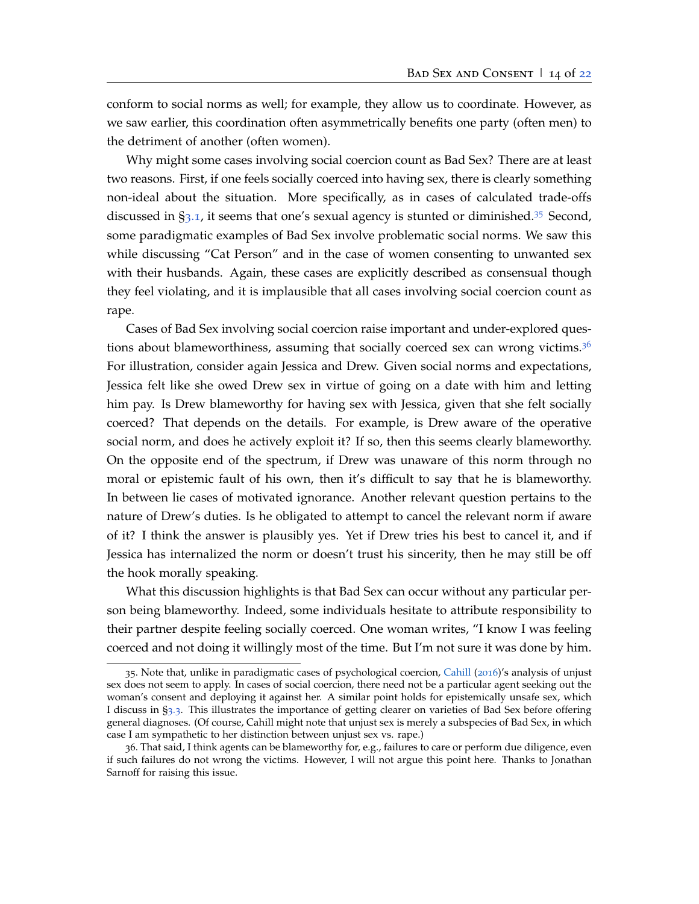conform to social norms as well; for example, they allow us to coordinate. However, as we saw earlier, this coordination often asymmetrically benefits one party (often men) to the detriment of another (often women).

Why might some cases involving social coercion count as Bad Sex? There are at least two reasons. First, if one feels socially coerced into having sex, there is clearly something non-ideal about the situation. More specifically, as in cases of calculated trade-offs discussed in  $\S$ [3](#page-8-0).1, it seems that one's sexual agency is stunted or diminished.<sup>[35](#page-13-0)</sup> Second, some paradigmatic examples of Bad Sex involve problematic social norms. We saw this while discussing "Cat Person" and in the case of women consenting to unwanted sex with their husbands. Again, these cases are explicitly described as consensual though they feel violating, and it is implausible that all cases involving social coercion count as rape.

Cases of Bad Sex involving social coercion raise important and under-explored ques-tions about blameworthiness, assuming that socially coerced sex can wrong victims.<sup>[36](#page-13-1)</sup> For illustration, consider again Jessica and Drew. Given social norms and expectations, Jessica felt like she owed Drew sex in virtue of going on a date with him and letting him pay. Is Drew blameworthy for having sex with Jessica, given that she felt socially coerced? That depends on the details. For example, is Drew aware of the operative social norm, and does he actively exploit it? If so, then this seems clearly blameworthy. On the opposite end of the spectrum, if Drew was unaware of this norm through no moral or epistemic fault of his own, then it's difficult to say that he is blameworthy. In between lie cases of motivated ignorance. Another relevant question pertains to the nature of Drew's duties. Is he obligated to attempt to cancel the relevant norm if aware of it? I think the answer is plausibly yes. Yet if Drew tries his best to cancel it, and if Jessica has internalized the norm or doesn't trust his sincerity, then he may still be off the hook morally speaking.

What this discussion highlights is that Bad Sex can occur without any particular person being blameworthy. Indeed, some individuals hesitate to attribute responsibility to their partner despite feeling socially coerced. One woman writes, "I know I was feeling coerced and not doing it willingly most of the time. But I'm not sure it was done by him.

<span id="page-13-0"></span><sup>35</sup>. Note that, unlike in paradigmatic cases of psychological coercion, [Cahill](#page-22-3) ([2016](#page-22-3))'s analysis of unjust sex does not seem to apply. In cases of social coercion, there need not be a particular agent seeking out the woman's consent and deploying it against her. A similar point holds for epistemically unsafe sex, which I discuss in §[3](#page-14-0).3. This illustrates the importance of getting clearer on varieties of Bad Sex before offering general diagnoses. (Of course, Cahill might note that unjust sex is merely a subspecies of Bad Sex, in which case I am sympathetic to her distinction between unjust sex vs. rape.)

<span id="page-13-1"></span><sup>36</sup>. That said, I think agents can be blameworthy for, e.g., failures to care or perform due diligence, even if such failures do not wrong the victims. However, I will not argue this point here. Thanks to Jonathan Sarnoff for raising this issue.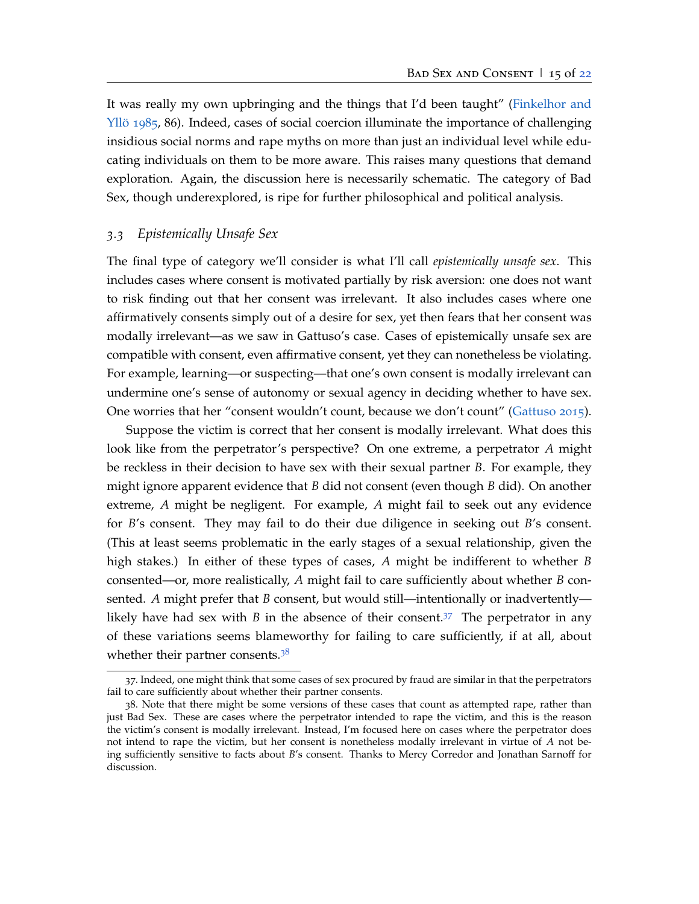It was really my own upbringing and the things that I'd been taught" [\(Finkelhor and](#page-22-12) [Yllö](#page-22-12) [1985](#page-22-12), 86). Indeed, cases of social coercion illuminate the importance of challenging insidious social norms and rape myths on more than just an individual level while educating individuals on them to be more aware. This raises many questions that demand exploration. Again, the discussion here is necessarily schematic. The category of Bad Sex, though underexplored, is ripe for further philosophical and political analysis.

### <span id="page-14-0"></span>*3.3 Epistemically Unsafe Sex*

The final type of category we'll consider is what I'll call *epistemically unsafe sex*. This includes cases where consent is motivated partially by risk aversion: one does not want to risk finding out that her consent was irrelevant. It also includes cases where one affirmatively consents simply out of a desire for sex, yet then fears that her consent was modally irrelevant—as we saw in Gattuso's case. Cases of epistemically unsafe sex are compatible with consent, even affirmative consent, yet they can nonetheless be violating. For example, learning—or suspecting—that one's own consent is modally irrelevant can undermine one's sense of autonomy or sexual agency in deciding whether to have sex. One worries that her "consent wouldn't count, because we don't count" [\(Gattuso](#page-22-8) [2015](#page-22-8)).

Suppose the victim is correct that her consent is modally irrelevant. What does this look like from the perpetrator's perspective? On one extreme, a perpetrator *A* might be reckless in their decision to have sex with their sexual partner *B*. For example, they might ignore apparent evidence that *B* did not consent (even though *B* did). On another extreme, *A* might be negligent. For example, *A* might fail to seek out any evidence for *B*'s consent. They may fail to do their due diligence in seeking out *B*'s consent. (This at least seems problematic in the early stages of a sexual relationship, given the high stakes.) In either of these types of cases, *A* might be indifferent to whether *B* consented—or, more realistically, *A* might fail to care sufficiently about whether *B* consented. *A* might prefer that *B* consent, but would still—intentionally or inadvertently likely have had sex with *B* in the absence of their consent.<sup>[37](#page-14-1)</sup> The perpetrator in any of these variations seems blameworthy for failing to care sufficiently, if at all, about whether their partner consents.<sup>[38](#page-14-2)</sup>

<span id="page-14-1"></span><sup>37</sup>. Indeed, one might think that some cases of sex procured by fraud are similar in that the perpetrators fail to care sufficiently about whether their partner consents.

<span id="page-14-2"></span><sup>38</sup>. Note that there might be some versions of these cases that count as attempted rape, rather than just Bad Sex. These are cases where the perpetrator intended to rape the victim, and this is the reason the victim's consent is modally irrelevant. Instead, I'm focused here on cases where the perpetrator does not intend to rape the victim, but her consent is nonetheless modally irrelevant in virtue of *A* not being sufficiently sensitive to facts about *B*'s consent. Thanks to Mercy Corredor and Jonathan Sarnoff for discussion.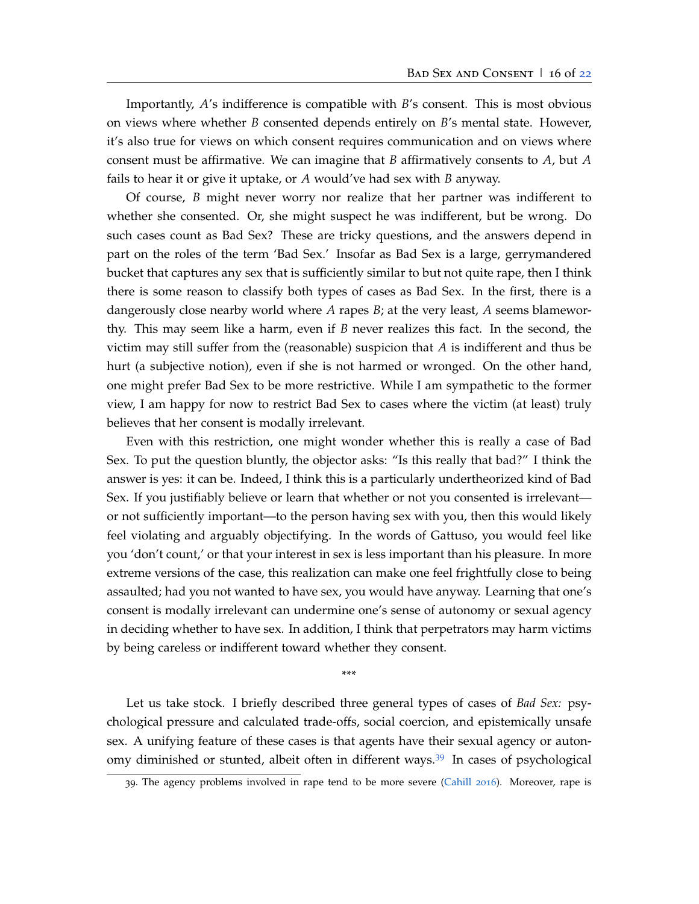Importantly, *A*'s indifference is compatible with *B*'s consent. This is most obvious on views where whether *B* consented depends entirely on *B*'s mental state. However, it's also true for views on which consent requires communication and on views where consent must be affirmative. We can imagine that *B* affirmatively consents to *A*, but *A* fails to hear it or give it uptake, or *A* would've had sex with *B* anyway.

Of course, *B* might never worry nor realize that her partner was indifferent to whether she consented. Or, she might suspect he was indifferent, but be wrong. Do such cases count as Bad Sex? These are tricky questions, and the answers depend in part on the roles of the term 'Bad Sex.' Insofar as Bad Sex is a large, gerrymandered bucket that captures any sex that is sufficiently similar to but not quite rape, then I think there is some reason to classify both types of cases as Bad Sex. In the first, there is a dangerously close nearby world where *A* rapes *B*; at the very least, *A* seems blameworthy. This may seem like a harm, even if *B* never realizes this fact. In the second, the victim may still suffer from the (reasonable) suspicion that *A* is indifferent and thus be hurt (a subjective notion), even if she is not harmed or wronged. On the other hand, one might prefer Bad Sex to be more restrictive. While I am sympathetic to the former view, I am happy for now to restrict Bad Sex to cases where the victim (at least) truly believes that her consent is modally irrelevant.

Even with this restriction, one might wonder whether this is really a case of Bad Sex. To put the question bluntly, the objector asks: "Is this really that bad?" I think the answer is yes: it can be. Indeed, I think this is a particularly undertheorized kind of Bad Sex. If you justifiably believe or learn that whether or not you consented is irrelevant or not sufficiently important—to the person having sex with you, then this would likely feel violating and arguably objectifying. In the words of Gattuso, you would feel like you 'don't count,' or that your interest in sex is less important than his pleasure. In more extreme versions of the case, this realization can make one feel frightfully close to being assaulted; had you not wanted to have sex, you would have anyway. Learning that one's consent is modally irrelevant can undermine one's sense of autonomy or sexual agency in deciding whether to have sex. In addition, I think that perpetrators may harm victims by being careless or indifferent toward whether they consent.

\*\*\*

Let us take stock. I briefly described three general types of cases of *Bad Sex:* psychological pressure and calculated trade-offs, social coercion, and epistemically unsafe sex. A unifying feature of these cases is that agents have their sexual agency or autonomy diminished or stunted, albeit often in different ways.[39](#page-15-0) In cases of psychological

<span id="page-15-0"></span><sup>39</sup>. The agency problems involved in rape tend to be more severe [\(Cahill](#page-22-3) [2016](#page-22-3)). Moreover, rape is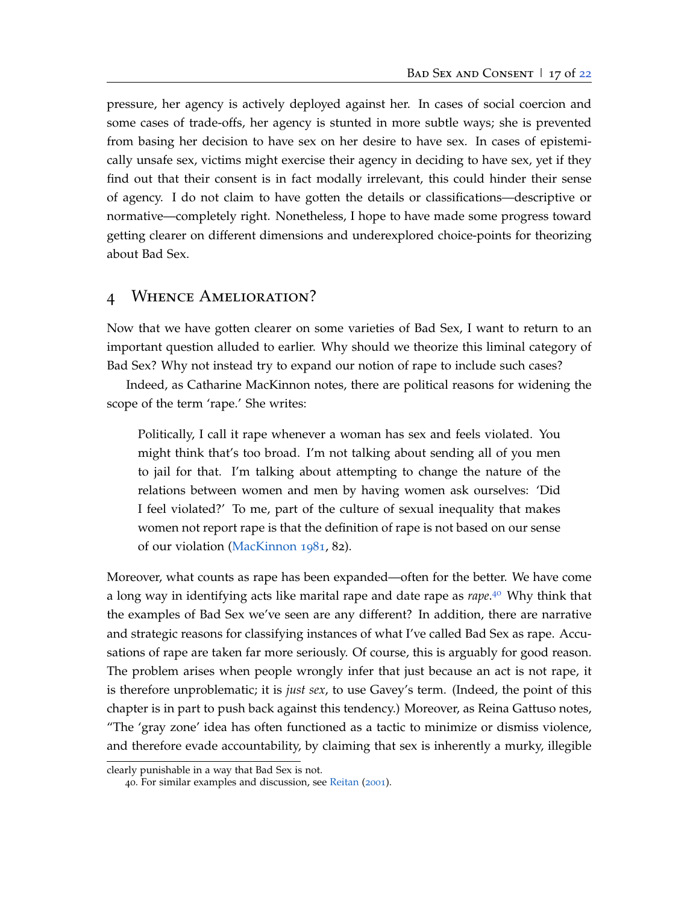pressure, her agency is actively deployed against her. In cases of social coercion and some cases of trade-offs, her agency is stunted in more subtle ways; she is prevented from basing her decision to have sex on her desire to have sex. In cases of epistemically unsafe sex, victims might exercise their agency in deciding to have sex, yet if they find out that their consent is in fact modally irrelevant, this could hinder their sense of agency. I do not claim to have gotten the details or classifications—descriptive or normative—completely right. Nonetheless, I hope to have made some progress toward getting clearer on different dimensions and underexplored choice-points for theorizing about Bad Sex.

## <span id="page-16-0"></span>4 Whence Amelioration?

Now that we have gotten clearer on some varieties of Bad Sex, I want to return to an important question alluded to earlier. Why should we theorize this liminal category of Bad Sex? Why not instead try to expand our notion of rape to include such cases?

Indeed, as Catharine MacKinnon notes, there are political reasons for widening the scope of the term 'rape.' She writes:

Politically, I call it rape whenever a woman has sex and feels violated. You might think that's too broad. I'm not talking about sending all of you men to jail for that. I'm talking about attempting to change the nature of the relations between women and men by having women ask ourselves: 'Did I feel violated?' To me, part of the culture of sexual inequality that makes women not report rape is that the definition of rape is not based on our sense of our violation [\(MacKinnon](#page-23-8) [1981](#page-23-8), 82).

Moreover, what counts as rape has been expanded—often for the better. We have come a long way in identifying acts like marital rape and date rape as *rape*. [40](#page-16-1) Why think that the examples of Bad Sex we've seen are any different? In addition, there are narrative and strategic reasons for classifying instances of what I've called Bad Sex as rape. Accusations of rape are taken far more seriously. Of course, this is arguably for good reason. The problem arises when people wrongly infer that just because an act is not rape, it is therefore unproblematic; it is *just sex*, to use Gavey's term. (Indeed, the point of this chapter is in part to push back against this tendency.) Moreover, as Reina Gattuso notes, "The 'gray zone' idea has often functioned as a tactic to minimize or dismiss violence, and therefore evade accountability, by claiming that sex is inherently a murky, illegible

clearly punishable in a way that Bad Sex is not.

<span id="page-16-1"></span><sup>40</sup>. For similar examples and discussion, see [Reitan](#page-24-11) ([2001](#page-24-11)).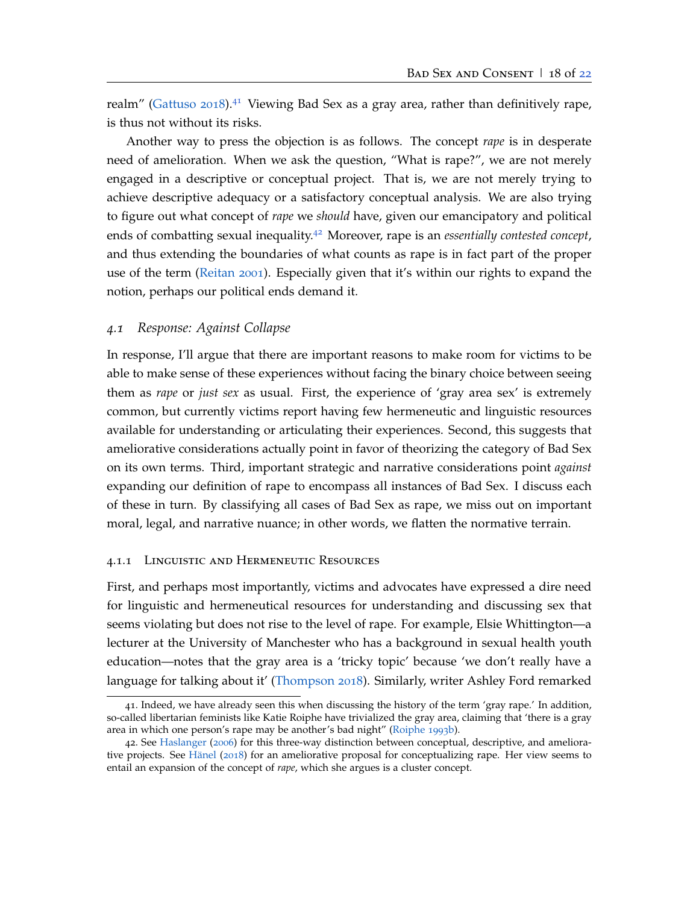realm" [\(Gattuso](#page-23-9) [2018](#page-23-9)).<sup>[41](#page-17-1)</sup> Viewing Bad Sex as a gray area, rather than definitively rape, is thus not without its risks.

Another way to press the objection is as follows. The concept *rape* is in desperate need of amelioration. When we ask the question, "What is rape?", we are not merely engaged in a descriptive or conceptual project. That is, we are not merely trying to achieve descriptive adequacy or a satisfactory conceptual analysis. We are also trying to figure out what concept of *rape* we *should* have, given our emancipatory and political ends of combatting sexual inequality.[42](#page-17-2) Moreover, rape is an *essentially contested concept*, and thus extending the boundaries of what counts as rape is in fact part of the proper use of the term [\(Reitan](#page-24-11) [2001](#page-24-11)). Especially given that it's within our rights to expand the notion, perhaps our political ends demand it.

### <span id="page-17-0"></span>*4.1 Response: Against Collapse*

In response, I'll argue that there are important reasons to make room for victims to be able to make sense of these experiences without facing the binary choice between seeing them as *rape* or *just sex* as usual. First, the experience of 'gray area sex' is extremely common, but currently victims report having few hermeneutic and linguistic resources available for understanding or articulating their experiences. Second, this suggests that ameliorative considerations actually point in favor of theorizing the category of Bad Sex on its own terms. Third, important strategic and narrative considerations point *against* expanding our definition of rape to encompass all instances of Bad Sex. I discuss each of these in turn. By classifying all cases of Bad Sex as rape, we miss out on important moral, legal, and narrative nuance; in other words, we flatten the normative terrain.

#### 4.1.1 Linguistic and Hermeneutic Resources

First, and perhaps most importantly, victims and advocates have expressed a dire need for linguistic and hermeneutical resources for understanding and discussing sex that seems violating but does not rise to the level of rape. For example, Elsie Whittington—a lecturer at the University of Manchester who has a background in sexual health youth education—notes that the gray area is a 'tricky topic' because 'we don't really have a language for talking about it' [\(Thompson](#page-25-4) [2018](#page-25-4)). Similarly, writer Ashley Ford remarked

<span id="page-17-1"></span><sup>41</sup>. Indeed, we have already seen this when discussing the history of the term 'gray rape.' In addition, so-called libertarian feminists like Katie Roiphe have trivialized the gray area, claiming that 'there is a gray area in which one person's rape may be another's bad night" [\(Roiphe](#page-24-12) [1993](#page-24-12)b).

<span id="page-17-2"></span><sup>42</sup>. See [Haslanger](#page-23-10) ([2006](#page-23-10)) for this three-way distinction between conceptual, descriptive, and ameliorative projects. See [Hänel](#page-23-11) ([2018](#page-23-11)) for an ameliorative proposal for conceptualizing rape. Her view seems to entail an expansion of the concept of *rape*, which she argues is a cluster concept.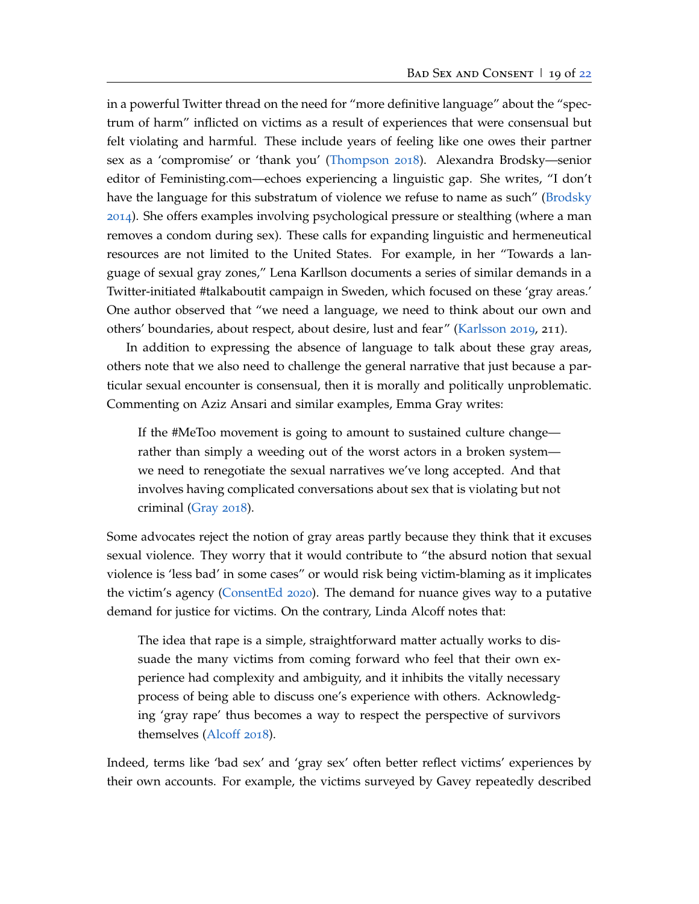in a powerful Twitter thread on the need for "more definitive language" about the "spectrum of harm" inflicted on victims as a result of experiences that were consensual but felt violating and harmful. These include years of feeling like one owes their partner sex as a 'compromise' or 'thank you' [\(Thompson](#page-25-4) [2018](#page-25-4)). Alexandra Brodsky—senior editor of Feministing.com—echoes experiencing a linguistic gap. She writes, "I don't have the language for this substratum of violence we refuse to name as such" [\(Brodsky](#page-22-13) [2014](#page-22-13)). She offers examples involving psychological pressure or stealthing (where a man removes a condom during sex). These calls for expanding linguistic and hermeneutical resources are not limited to the United States. For example, in her "Towards a language of sexual gray zones," Lena Karllson documents a series of similar demands in a Twitter-initiated #talkaboutit campaign in Sweden, which focused on these 'gray areas.' One author observed that "we need a language, we need to think about our own and others' boundaries, about respect, about desire, lust and fear" [\(Karlsson](#page-23-12) [2019](#page-23-12), 211).

In addition to expressing the absence of language to talk about these gray areas, others note that we also need to challenge the general narrative that just because a particular sexual encounter is consensual, then it is morally and politically unproblematic. Commenting on Aziz Ansari and similar examples, Emma Gray writes:

If the #MeToo movement is going to amount to sustained culture change rather than simply a weeding out of the worst actors in a broken system we need to renegotiate the sexual narratives we've long accepted. And that involves having complicated conversations about sex that is violating but not criminal [\(Gray](#page-23-4) [2018](#page-23-4)).

Some advocates reject the notion of gray areas partly because they think that it excuses sexual violence. They worry that it would contribute to "the absurd notion that sexual violence is 'less bad' in some cases" or would risk being victim-blaming as it implicates the victim's agency [\(ConsentEd](#page-22-6) [2020](#page-22-6)). The demand for nuance gives way to a putative demand for justice for victims. On the contrary, Linda Alcoff notes that:

The idea that rape is a simple, straightforward matter actually works to dissuade the many victims from coming forward who feel that their own experience had complexity and ambiguity, and it inhibits the vitally necessary process of being able to discuss one's experience with others. Acknowledging 'gray rape' thus becomes a way to respect the perspective of survivors themselves [\(Alcoff](#page-22-4) [2018](#page-22-4)).

Indeed, terms like 'bad sex' and 'gray sex' often better reflect victims' experiences by their own accounts. For example, the victims surveyed by Gavey repeatedly described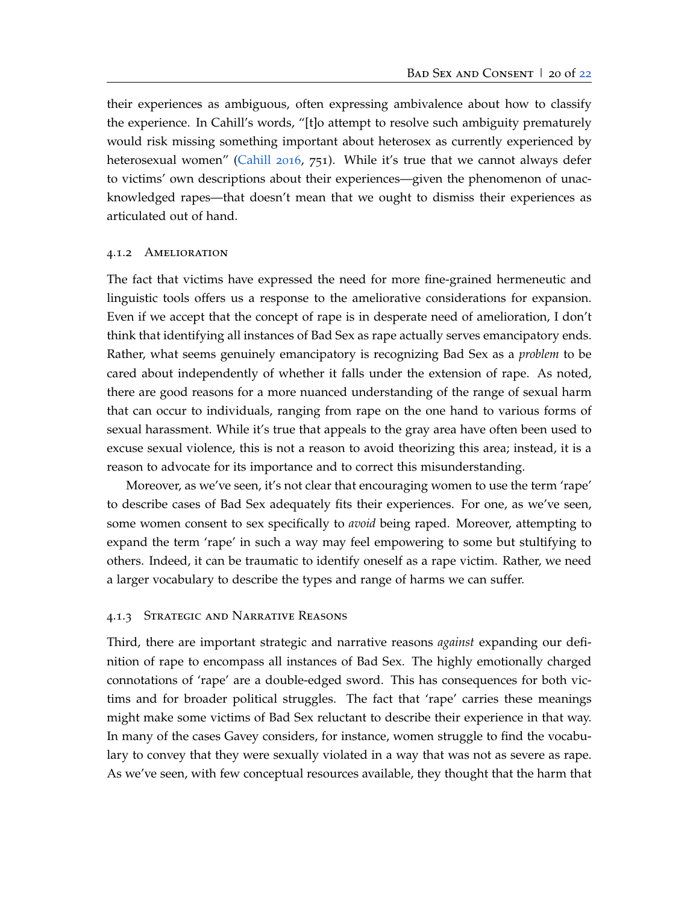their experiences as ambiguous, often expressing ambivalence about how to classify the experience. In Cahill's words, "[t]o attempt to resolve such ambiguity prematurely would risk missing something important about heterosex as currently experienced by heterosexual women" [\(Cahill](#page-22-3) [2016](#page-22-3), 751). While it's true that we cannot always defer to victims' own descriptions about their experiences—given the phenomenon of unacknowledged rapes—that doesn't mean that we ought to dismiss their experiences as articulated out of hand.

#### 4.1.2 Amelioration

The fact that victims have expressed the need for more fine-grained hermeneutic and linguistic tools offers us a response to the ameliorative considerations for expansion. Even if we accept that the concept of rape is in desperate need of amelioration, I don't think that identifying all instances of Bad Sex as rape actually serves emancipatory ends. Rather, what seems genuinely emancipatory is recognizing Bad Sex as a *problem* to be cared about independently of whether it falls under the extension of rape. As noted, there are good reasons for a more nuanced understanding of the range of sexual harm that can occur to individuals, ranging from rape on the one hand to various forms of sexual harassment. While it's true that appeals to the gray area have often been used to excuse sexual violence, this is not a reason to avoid theorizing this area; instead, it is a reason to advocate for its importance and to correct this misunderstanding.

Moreover, as we've seen, it's not clear that encouraging women to use the term 'rape' to describe cases of Bad Sex adequately fits their experiences. For one, as we've seen, some women consent to sex specifically to *avoid* being raped. Moreover, attempting to expand the term 'rape' in such a way may feel empowering to some but stultifying to others. Indeed, it can be traumatic to identify oneself as a rape victim. Rather, we need a larger vocabulary to describe the types and range of harms we can suffer.

### 4.1.3 Strategic and Narrative Reasons

Third, there are important strategic and narrative reasons *against* expanding our definition of rape to encompass all instances of Bad Sex. The highly emotionally charged connotations of 'rape' are a double-edged sword. This has consequences for both victims and for broader political struggles. The fact that 'rape' carries these meanings might make some victims of Bad Sex reluctant to describe their experience in that way. In many of the cases Gavey considers, for instance, women struggle to find the vocabulary to convey that they were sexually violated in a way that was not as severe as rape. As we've seen, with few conceptual resources available, they thought that the harm that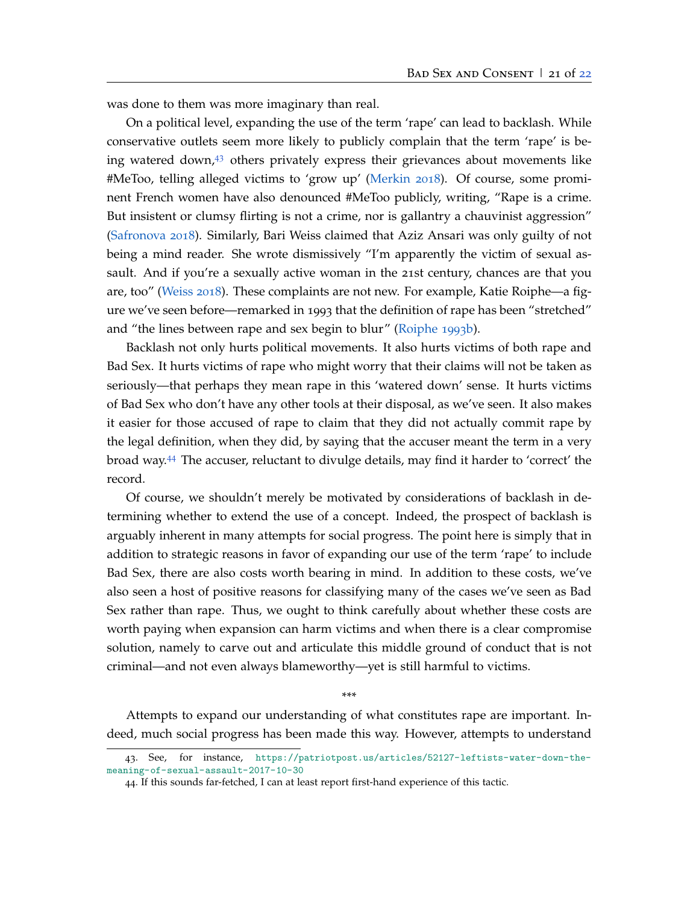was done to them was more imaginary than real.

On a political level, expanding the use of the term 'rape' can lead to backlash. While conservative outlets seem more likely to publicly complain that the term 'rape' is be-ing watered down,<sup>[43](#page-20-0)</sup> others privately express their grievances about movements like #MeToo, telling alleged victims to 'grow up' [\(Merkin](#page-24-13) [2018](#page-24-13)). Of course, some prominent French women have also denounced #MeToo publicly, writing, "Rape is a crime. But insistent or clumsy flirting is not a crime, nor is gallantry a chauvinist aggression" [\(Safronova](#page-25-11) [2018](#page-25-11)). Similarly, Bari Weiss claimed that Aziz Ansari was only guilty of not being a mind reader. She wrote dismissively "I'm apparently the victim of sexual assault. And if you're a sexually active woman in the 21st century, chances are that you are, too" [\(Weiss](#page-25-12) [2018](#page-25-12)). These complaints are not new. For example, Katie Roiphe—a figure we've seen before—remarked in 1993 that the definition of rape has been "stretched" and "the lines between rape and sex begin to blur" [\(Roiphe](#page-24-12) [1993](#page-24-12)b).

Backlash not only hurts political movements. It also hurts victims of both rape and Bad Sex. It hurts victims of rape who might worry that their claims will not be taken as seriously—that perhaps they mean rape in this 'watered down' sense. It hurts victims of Bad Sex who don't have any other tools at their disposal, as we've seen. It also makes it easier for those accused of rape to claim that they did not actually commit rape by the legal definition, when they did, by saying that the accuser meant the term in a very broad way.[44](#page-20-1) The accuser, reluctant to divulge details, may find it harder to 'correct' the record.

Of course, we shouldn't merely be motivated by considerations of backlash in determining whether to extend the use of a concept. Indeed, the prospect of backlash is arguably inherent in many attempts for social progress. The point here is simply that in addition to strategic reasons in favor of expanding our use of the term 'rape' to include Bad Sex, there are also costs worth bearing in mind. In addition to these costs, we've also seen a host of positive reasons for classifying many of the cases we've seen as Bad Sex rather than rape. Thus, we ought to think carefully about whether these costs are worth paying when expansion can harm victims and when there is a clear compromise solution, namely to carve out and articulate this middle ground of conduct that is not criminal—and not even always blameworthy—yet is still harmful to victims.

\*\*\*

Attempts to expand our understanding of what constitutes rape are important. Indeed, much social progress has been made this way. However, attempts to understand

<span id="page-20-0"></span><sup>43</sup>. See, for instance, [https://patriotpost.us/articles/52127-leftists-water-down-the](https://patriotpost.us/articles/52127-leftists-water-down-the-meaning-of-sexual-assault-2017-10-30)[meaning-of-sexual-assault-2017-10-30](https://patriotpost.us/articles/52127-leftists-water-down-the-meaning-of-sexual-assault-2017-10-30)

<span id="page-20-1"></span><sup>44</sup>. If this sounds far-fetched, I can at least report first-hand experience of this tactic.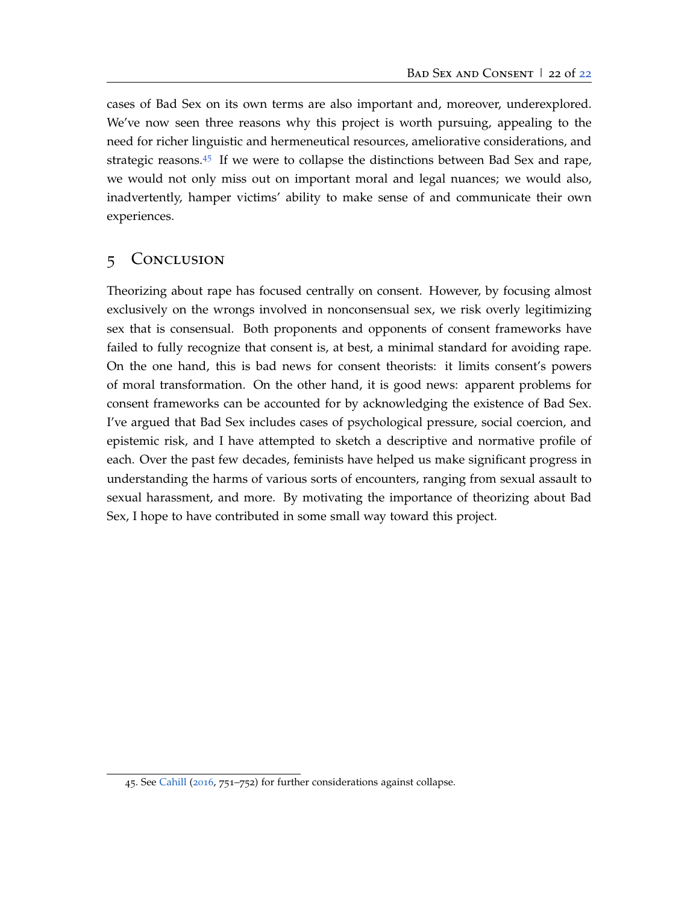cases of Bad Sex on its own terms are also important and, moreover, underexplored. We've now seen three reasons why this project is worth pursuing, appealing to the need for richer linguistic and hermeneutical resources, ameliorative considerations, and strategic reasons.[45](#page-21-2) If we were to collapse the distinctions between Bad Sex and rape, we would not only miss out on important moral and legal nuances; we would also, inadvertently, hamper victims' ability to make sense of and communicate their own experiences.

## <span id="page-21-1"></span>5 Conclusion

<span id="page-21-0"></span>Theorizing about rape has focused centrally on consent. However, by focusing almost exclusively on the wrongs involved in nonconsensual sex, we risk overly legitimizing sex that is consensual. Both proponents and opponents of consent frameworks have failed to fully recognize that consent is, at best, a minimal standard for avoiding rape. On the one hand, this is bad news for consent theorists: it limits consent's powers of moral transformation. On the other hand, it is good news: apparent problems for consent frameworks can be accounted for by acknowledging the existence of Bad Sex. I've argued that Bad Sex includes cases of psychological pressure, social coercion, and epistemic risk, and I have attempted to sketch a descriptive and normative profile of each. Over the past few decades, feminists have helped us make significant progress in understanding the harms of various sorts of encounters, ranging from sexual assault to sexual harassment, and more. By motivating the importance of theorizing about Bad Sex, I hope to have contributed in some small way toward this project.

<span id="page-21-2"></span><sup>45</sup>. See [Cahill](#page-22-3) ([2016](#page-22-3), 751–752) for further considerations against collapse.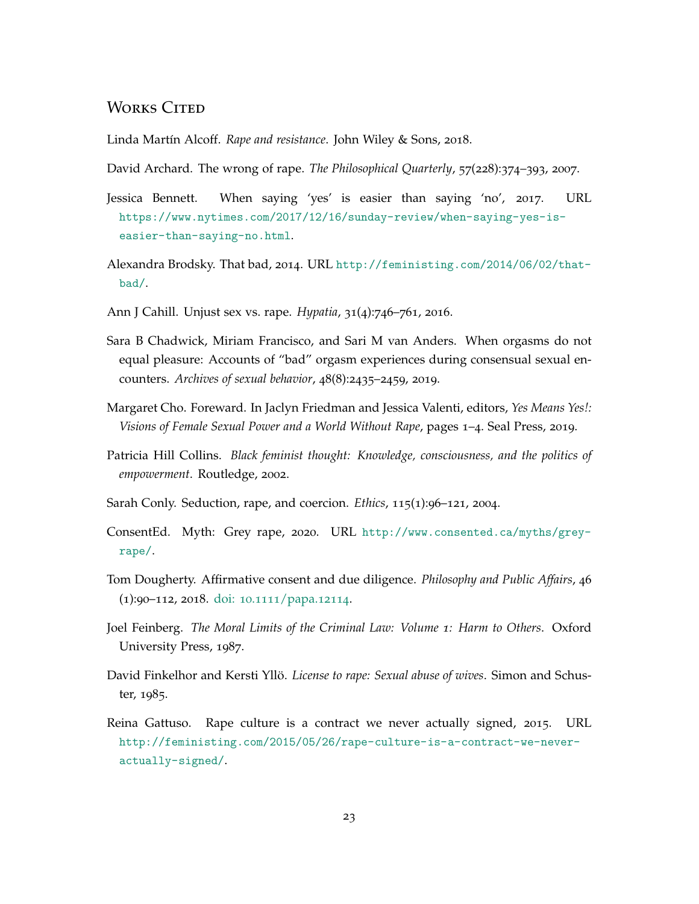## WORKS CITED

<span id="page-22-4"></span>Linda Martín Alcoff. *Rape and resistance*. John Wiley & Sons, 2018.

<span id="page-22-0"></span>David Archard. The wrong of rape. *The Philosophical Quarterly*, 57(228):374–393, 2007.

- <span id="page-22-5"></span>Jessica Bennett. When saying 'yes' is easier than saying 'no', 2017. URL [https://www.nytimes.com/2017/12/16/sunday-review/when-saying-yes-is](https://www.nytimes.com/2017/12/16/sunday-review/when-saying-yes-is-easier-than-saying-no.html)[easier-than-saying-no.html](https://www.nytimes.com/2017/12/16/sunday-review/when-saying-yes-is-easier-than-saying-no.html).
- <span id="page-22-13"></span>Alexandra Brodsky. That bad, 2014. URL [http://feministing.com/2014/06/02/that](http://feministing.com/2014/06/02/that-bad/)[bad/](http://feministing.com/2014/06/02/that-bad/).
- <span id="page-22-3"></span>Ann J Cahill. Unjust sex vs. rape. *Hypatia*, 31(4):746–761, 2016.
- <span id="page-22-10"></span>Sara B Chadwick, Miriam Francisco, and Sari M van Anders. When orgasms do not equal pleasure: Accounts of "bad" orgasm experiences during consensual sexual encounters. *Archives of sexual behavior*, 48(8):2435–2459, 2019.
- <span id="page-22-7"></span>Margaret Cho. Foreward. In Jaclyn Friedman and Jessica Valenti, editors, *Yes Means Yes!: Visions of Female Sexual Power and a World Without Rape, pages 1–4. Seal Press, 2019.*
- <span id="page-22-11"></span>Patricia Hill Collins. *Black feminist thought: Knowledge, consciousness, and the politics of empowerment*. Routledge, 2002.
- <span id="page-22-1"></span>Sarah Conly. Seduction, rape, and coercion. *Ethics*, 115(1):96–121, 2004.
- <span id="page-22-6"></span>ConsentEd. Myth: Grey rape, 2020. URL [http://www.consented.ca/myths/grey](http://www.consented.ca/myths/grey-rape/)[rape/](http://www.consented.ca/myths/grey-rape/).
- <span id="page-22-2"></span>Tom Dougherty. Affirmative consent and due diligence. *Philosophy and Public Affairs*, 46 (1):90–112, 2018. doi: 10.1111[/papa.](http://dx.doi.org/10.1111/papa.12114)12114.
- <span id="page-22-9"></span>Joel Feinberg. *The Moral Limits of the Criminal Law: Volume 1: Harm to Others*. Oxford University Press, 1987.
- <span id="page-22-12"></span>David Finkelhor and Kersti Yllö. *License to rape: Sexual abuse of wives*. Simon and Schuster, 1985.
- <span id="page-22-8"></span>Reina Gattuso. Rape culture is a contract we never actually signed, 2015. URL [http://feministing.com/2015/05/26/rape-culture-is-a-contract-we-never](http://feministing.com/2015/05/26/rape-culture-is-a-contract-we-never-actually-signed/)[actually-signed/](http://feministing.com/2015/05/26/rape-culture-is-a-contract-we-never-actually-signed/).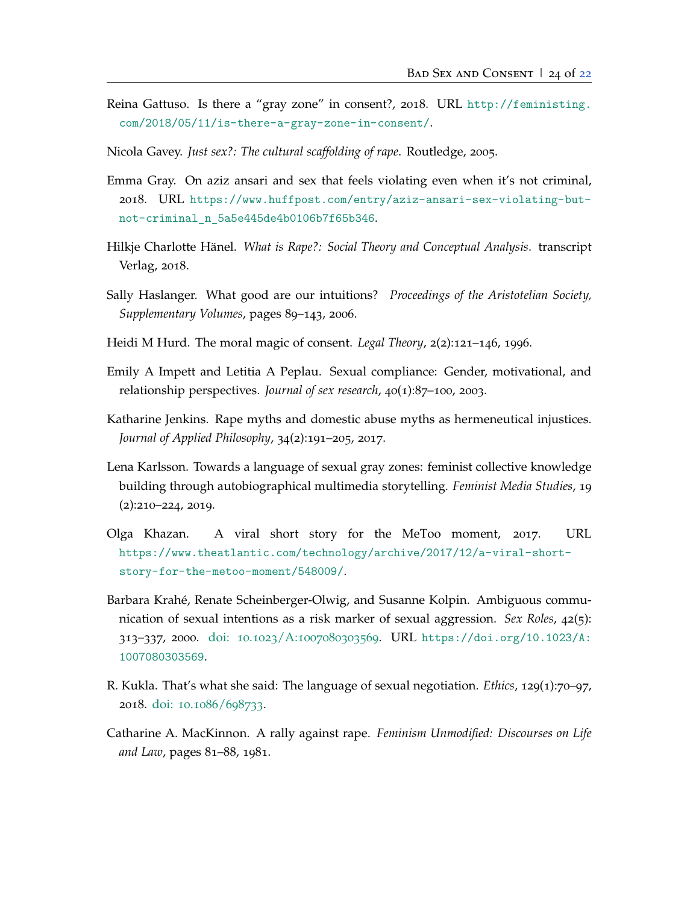- <span id="page-23-9"></span>Reina Gattuso. Is there a "gray zone" in consent?, 2018. URL [http://feministing.](http://feministing.com/2018/05/11/is-there-a-gray-zone-in-consent/) [com/2018/05/11/is-there-a-gray-zone-in-consent/](http://feministing.com/2018/05/11/is-there-a-gray-zone-in-consent/).
- <span id="page-23-2"></span>Nicola Gavey. *Just sex?: The cultural scaffolding of rape*. Routledge, 2005.
- <span id="page-23-4"></span>Emma Gray. On aziz ansari and sex that feels violating even when it's not criminal, 2018. URL [https://www.huffpost.com/entry/aziz-ansari-sex-violating-but](https://www.huffpost.com/entry/aziz-ansari-sex-violating-but-not-criminal_n_5a5e445de4b0106b7f65b346)[not-criminal\\_n\\_5a5e445de4b0106b7f65b346](https://www.huffpost.com/entry/aziz-ansari-sex-violating-but-not-criminal_n_5a5e445de4b0106b7f65b346).
- <span id="page-23-11"></span>Hilkje Charlotte Hänel. *What is Rape?: Social Theory and Conceptual Analysis*. transcript Verlag, 2018.
- <span id="page-23-10"></span>Sally Haslanger. What good are our intuitions? *Proceedings of the Aristotelian Society, Supplementary Volumes*, pages 89–143, 2006.
- <span id="page-23-0"></span>Heidi M Hurd. The moral magic of consent. *Legal Theory*, 2(2):121–146, 1996.
- <span id="page-23-7"></span>Emily A Impett and Letitia A Peplau. Sexual compliance: Gender, motivational, and relationship perspectives. *Journal of sex research*, 40(1):87–100, 2003.
- <span id="page-23-3"></span>Katharine Jenkins. Rape myths and domestic abuse myths as hermeneutical injustices. *Journal of Applied Philosophy*, 34(2):191–205, 2017.
- <span id="page-23-12"></span>Lena Karlsson. Towards a language of sexual gray zones: feminist collective knowledge building through autobiographical multimedia storytelling. *Feminist Media Studies*, 19 (2):210–224, 2019.
- <span id="page-23-5"></span>Olga Khazan. A viral short story for the MeToo moment, 2017. URL [https://www.theatlantic.com/technology/archive/2017/12/a-viral-short](https://www.theatlantic.com/technology/archive/2017/12/a-viral-short-story-for-the-metoo-moment/548009/)[story-for-the-metoo-moment/548009/](https://www.theatlantic.com/technology/archive/2017/12/a-viral-short-story-for-the-metoo-moment/548009/).
- <span id="page-23-6"></span>Barbara Krahé, Renate Scheinberger-Olwig, and Susanne Kolpin. Ambiguous communication of sexual intentions as a risk marker of sexual aggression. *Sex Roles*, 42(5): 313–337, 2000. doi: 10.1023/A:[1007080303569](http://dx.doi.org/10.1023/A:1007080303569). URL [https://doi.org/10.1023/A:](https://doi.org/10.1023/A:1007080303569) [1007080303569](https://doi.org/10.1023/A:1007080303569).
- <span id="page-23-1"></span>R. Kukla. That's what she said: The language of sexual negotiation. *Ethics*, 129(1):70–97, 2018. doi: 10.1086/[698733](http://dx.doi.org/10.1086/698733).
- <span id="page-23-8"></span>Catharine A. MacKinnon. A rally against rape. *Feminism Unmodified: Discourses on Life and Law*, pages 81–88, 1981.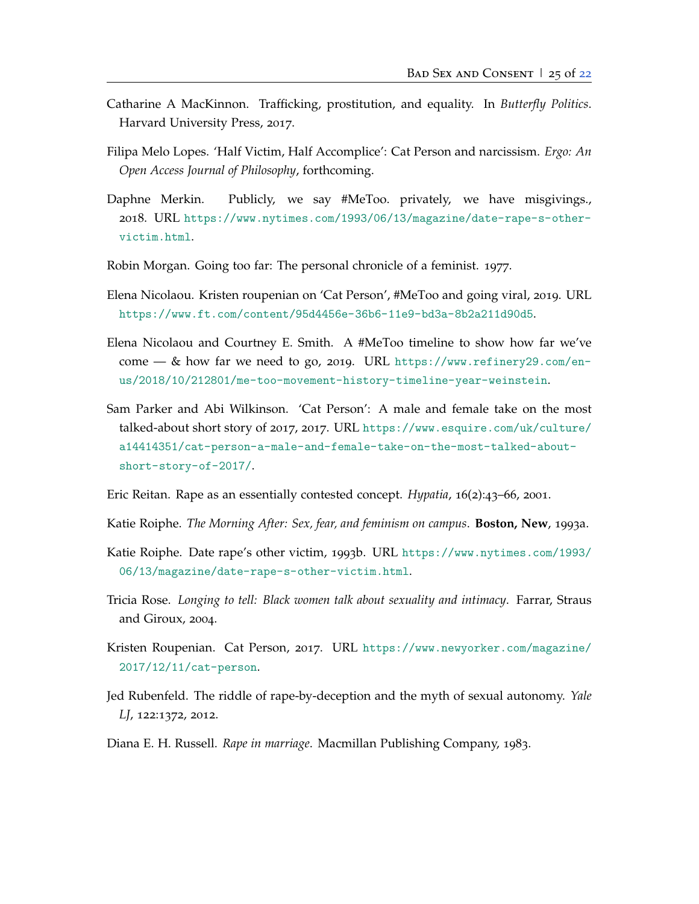- <span id="page-24-7"></span>Catharine A MacKinnon. Trafficking, prostitution, and equality. In *Butterfly Politics*. Harvard University Press, 2017.
- <span id="page-24-9"></span>Filipa Melo Lopes. 'Half Victim, Half Accomplice': Cat Person and narcissism. *Ergo: An Open Access Journal of Philosophy*, forthcoming.
- <span id="page-24-13"></span>Daphne Merkin. Publicly, we say #MeToo. privately, we have misgivings., 2018. URL [https://www.nytimes.com/1993/06/13/magazine/date-rape-s-other](https://www.nytimes.com/1993/06/13/magazine/date-rape-s-other-victim.html)[victim.html](https://www.nytimes.com/1993/06/13/magazine/date-rape-s-other-victim.html).
- <span id="page-24-5"></span>Robin Morgan. Going too far: The personal chronicle of a feminist. 1977.
- <span id="page-24-4"></span>Elena Nicolaou. Kristen roupenian on 'Cat Person', #MeToo and going viral, 2019. URL <https://www.ft.com/content/95d4456e-36b6-11e9-bd3a-8b2a211d90d5>.
- <span id="page-24-3"></span>Elena Nicolaou and Courtney E. Smith. A #MeToo timeline to show how far we've come — & how far we need to go, 2019. URL [https://www.refinery29.com/en](https://www.refinery29.com/en-us/2018/10/212801/me-too-movement-history-timeline-year-weinstein)[us/2018/10/212801/me-too-movement-history-timeline-year-weinstein](https://www.refinery29.com/en-us/2018/10/212801/me-too-movement-history-timeline-year-weinstein).
- <span id="page-24-2"></span>Sam Parker and Abi Wilkinson. 'Cat Person': A male and female take on the most talked-about short story of 2017, 2017. URL [https://www.esquire.com/uk/culture/](https://www.esquire.com/uk/culture/a14414351/cat-person-a-male-and-female-take-on-the-most-talked-about-short-story-of-2017/) [a14414351/cat-person-a-male-and-female-take-on-the-most-talked-about](https://www.esquire.com/uk/culture/a14414351/cat-person-a-male-and-female-take-on-the-most-talked-about-short-story-of-2017/)[short-story-of-2017/](https://www.esquire.com/uk/culture/a14414351/cat-person-a-male-and-female-take-on-the-most-talked-about-short-story-of-2017/).
- <span id="page-24-11"></span>Eric Reitan. Rape as an essentially contested concept. *Hypatia*, 16(2):43–66, 2001.
- <span id="page-24-0"></span>Katie Roiphe. *The Morning After: Sex, fear, and feminism on campus*. **Boston, New**, 1993a.
- <span id="page-24-12"></span>Katie Roiphe. Date rape's other victim, 1993b. URL [https://www.nytimes.com/1993/](https://www.nytimes.com/1993/06/13/magazine/date-rape-s-other-victim.html) [06/13/magazine/date-rape-s-other-victim.html](https://www.nytimes.com/1993/06/13/magazine/date-rape-s-other-victim.html).
- <span id="page-24-6"></span>Tricia Rose. *Longing to tell: Black women talk about sexuality and intimacy*. Farrar, Straus and Giroux, 2004.
- <span id="page-24-1"></span>Kristen Roupenian. Cat Person, 2017. URL [https://www.newyorker.com/magazine/](https://www.newyorker.com/magazine/2017/12/11/cat-person) [2017/12/11/cat-person](https://www.newyorker.com/magazine/2017/12/11/cat-person).
- <span id="page-24-8"></span>Jed Rubenfeld. The riddle of rape-by-deception and the myth of sexual autonomy. *Yale LJ*, 122:1372, 2012.
- <span id="page-24-10"></span>Diana E. H. Russell. *Rape in marriage*. Macmillan Publishing Company, 1983.